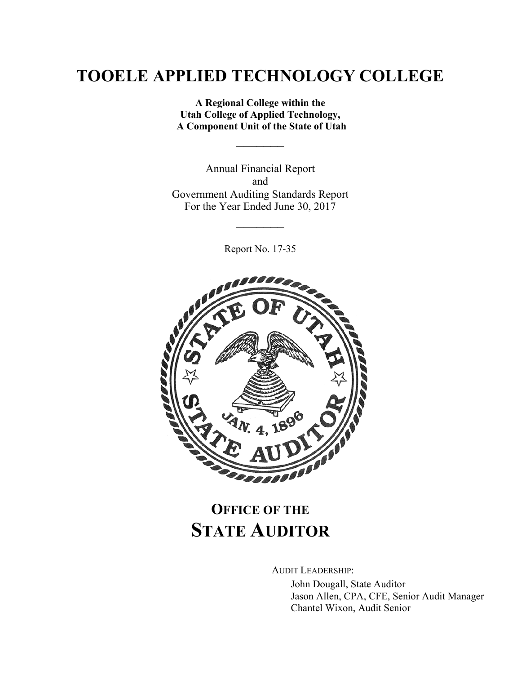**A Regional College within the Utah College of Applied Technology, A Component Unit of the State of Utah**

 $\frac{1}{2}$ 

Annual Financial Report and Government Auditing Standards Report For the Year Ended June 30, 2017

Report No. 17-35

 $\frac{1}{2}$ 



# **OFFICE OF THE STATE AUDITOR**

AUDIT LEADERSHIP:

John Dougall, State Auditor Jason Allen, CPA, CFE, Senior Audit Manager Chantel Wixon, Audit Senior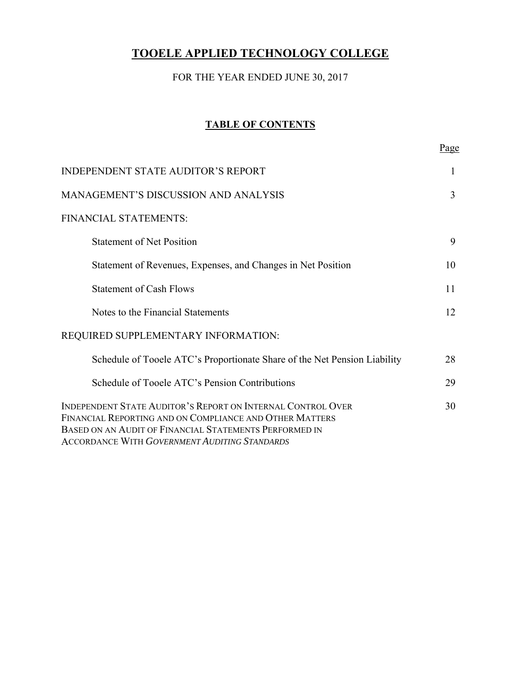### FOR THE YEAR ENDED JUNE 30, 2017

#### **TABLE OF CONTENTS**

|                                                                                                                                                                                                                                   | <u>Page</u>    |
|-----------------------------------------------------------------------------------------------------------------------------------------------------------------------------------------------------------------------------------|----------------|
| <b>INDEPENDENT STATE AUDITOR'S REPORT</b>                                                                                                                                                                                         | 1              |
| MANAGEMENT'S DISCUSSION AND ANALYSIS                                                                                                                                                                                              | $\overline{3}$ |
| FINANCIAL STATEMENTS:                                                                                                                                                                                                             |                |
| <b>Statement of Net Position</b>                                                                                                                                                                                                  | 9              |
| Statement of Revenues, Expenses, and Changes in Net Position                                                                                                                                                                      | 10             |
| <b>Statement of Cash Flows</b>                                                                                                                                                                                                    | 11             |
| Notes to the Financial Statements                                                                                                                                                                                                 | 12             |
| REQUIRED SUPPLEMENTARY INFORMATION:                                                                                                                                                                                               |                |
| Schedule of Tooele ATC's Proportionate Share of the Net Pension Liability                                                                                                                                                         | 28             |
| Schedule of Tooele ATC's Pension Contributions                                                                                                                                                                                    | 29             |
| INDEPENDENT STATE AUDITOR'S REPORT ON INTERNAL CONTROL OVER<br>FINANCIAL REPORTING AND ON COMPLIANCE AND OTHER MATTERS<br>BASED ON AN AUDIT OF FINANCIAL STATEMENTS PERFORMED IN<br>ACCORDANCE WITH GOVERNMENT AUDITING STANDARDS | 30             |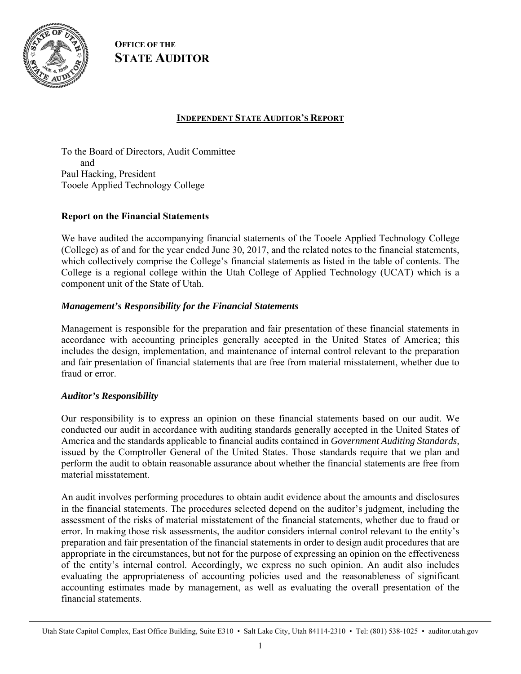

**OFFICE OF THE STATE AUDITOR**

#### **INDEPENDENT STATE AUDITOR'S REPORT**

To the Board of Directors, Audit Committee and Paul Hacking, President Tooele Applied Technology College

#### **Report on the Financial Statements**

We have audited the accompanying financial statements of the Tooele Applied Technology College (College) as of and for the year ended June 30, 2017, and the related notes to the financial statements, which collectively comprise the College's financial statements as listed in the table of contents. The College is a regional college within the Utah College of Applied Technology (UCAT) which is a component unit of the State of Utah.

#### *Management's Responsibility for the Financial Statements*

Management is responsible for the preparation and fair presentation of these financial statements in accordance with accounting principles generally accepted in the United States of America; this includes the design, implementation, and maintenance of internal control relevant to the preparation and fair presentation of financial statements that are free from material misstatement, whether due to fraud or error.

#### *Auditor's Responsibility*

Our responsibility is to express an opinion on these financial statements based on our audit. We conducted our audit in accordance with auditing standards generally accepted in the United States of America and the standards applicable to financial audits contained in *Government Auditing Standards,* issued by the Comptroller General of the United States. Those standards require that we plan and perform the audit to obtain reasonable assurance about whether the financial statements are free from material misstatement.

An audit involves performing procedures to obtain audit evidence about the amounts and disclosures in the financial statements. The procedures selected depend on the auditor's judgment, including the assessment of the risks of material misstatement of the financial statements, whether due to fraud or error. In making those risk assessments, the auditor considers internal control relevant to the entity's preparation and fair presentation of the financial statements in order to design audit procedures that are appropriate in the circumstances, but not for the purpose of expressing an opinion on the effectiveness of the entity's internal control. Accordingly, we express no such opinion. An audit also includes evaluating the appropriateness of accounting policies used and the reasonableness of significant accounting estimates made by management, as well as evaluating the overall presentation of the financial statements.

Utah State Capitol Complex, East Office Building, Suite E310 • Salt Lake City, Utah 84114-2310 • Tel: (801) 538-1025 • auditor.utah.gov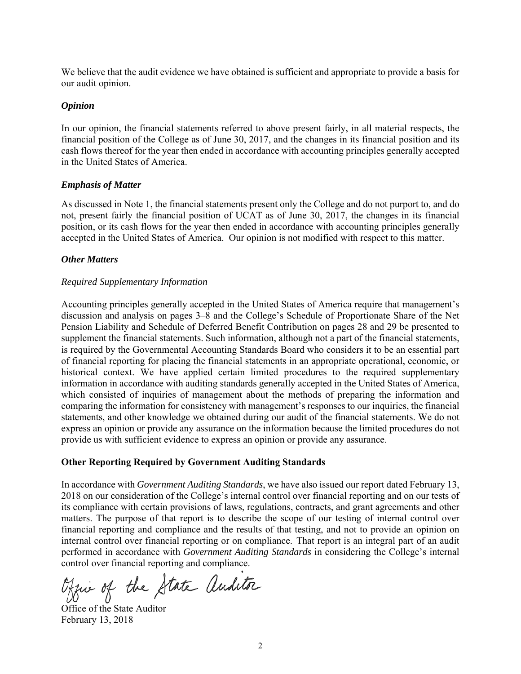We believe that the audit evidence we have obtained is sufficient and appropriate to provide a basis for our audit opinion.

#### *Opinion*

In our opinion, the financial statements referred to above present fairly, in all material respects, the financial position of the College as of June 30, 2017, and the changes in its financial position and its cash flows thereof for the year then ended in accordance with accounting principles generally accepted in the United States of America.

#### *Emphasis of Matter*

As discussed in Note 1, the financial statements present only the College and do not purport to, and do not, present fairly the financial position of UCAT as of June 30, 2017, the changes in its financial position, or its cash flows for the year then ended in accordance with accounting principles generally accepted in the United States of America. Our opinion is not modified with respect to this matter.

#### *Other Matters*

#### *Required Supplementary Information*

Accounting principles generally accepted in the United States of America require that management's discussion and analysis on pages 3–8 and the College's Schedule of Proportionate Share of the Net Pension Liability and Schedule of Deferred Benefit Contribution on pages 28 and 29 be presented to supplement the financial statements. Such information, although not a part of the financial statements, is required by the Governmental Accounting Standards Board who considers it to be an essential part of financial reporting for placing the financial statements in an appropriate operational, economic, or historical context. We have applied certain limited procedures to the required supplementary information in accordance with auditing standards generally accepted in the United States of America, which consisted of inquiries of management about the methods of preparing the information and comparing the information for consistency with management's responses to our inquiries, the financial statements, and other knowledge we obtained during our audit of the financial statements. We do not express an opinion or provide any assurance on the information because the limited procedures do not provide us with sufficient evidence to express an opinion or provide any assurance.

#### **Other Reporting Required by Government Auditing Standards**

In accordance with *Government Auditing Standards*, we have also issued our report dated February 13, 2018 on our consideration of the College's internal control over financial reporting and on our tests of its compliance with certain provisions of laws, regulations, contracts, and grant agreements and other matters. The purpose of that report is to describe the scope of our testing of internal control over financial reporting and compliance and the results of that testing, and not to provide an opinion on internal control over financial reporting or on compliance. That report is an integral part of an audit performed in accordance with *Government Auditing Standards* in considering the College's internal control over financial reporting and compliance.

Office of the State Auditor

Office of the State Auditor February 13, 2018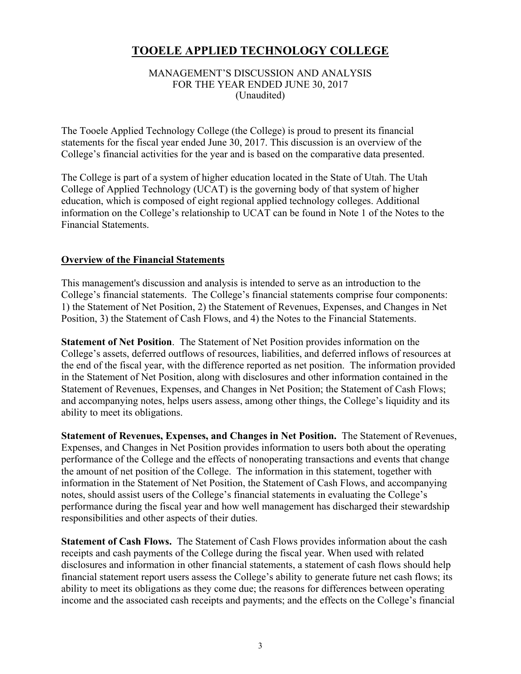#### MANAGEMENT'S DISCUSSION AND ANALYSIS FOR THE YEAR ENDED JUNE 30, 2017 (Unaudited)

The Tooele Applied Technology College (the College) is proud to present its financial statements for the fiscal year ended June 30, 2017. This discussion is an overview of the College's financial activities for the year and is based on the comparative data presented.

The College is part of a system of higher education located in the State of Utah. The Utah College of Applied Technology (UCAT) is the governing body of that system of higher education, which is composed of eight regional applied technology colleges. Additional information on the College's relationship to UCAT can be found in Note 1 of the Notes to the Financial Statements.

#### **Overview of the Financial Statements**

This management's discussion and analysis is intended to serve as an introduction to the College's financial statements. The College's financial statements comprise four components: 1) the Statement of Net Position, 2) the Statement of Revenues, Expenses, and Changes in Net Position, 3) the Statement of Cash Flows, and 4) the Notes to the Financial Statements.

**Statement of Net Position**. The Statement of Net Position provides information on the College's assets, deferred outflows of resources, liabilities, and deferred inflows of resources at the end of the fiscal year, with the difference reported as net position. The information provided in the Statement of Net Position, along with disclosures and other information contained in the Statement of Revenues, Expenses, and Changes in Net Position; the Statement of Cash Flows; and accompanying notes, helps users assess, among other things, the College's liquidity and its ability to meet its obligations.

**Statement of Revenues, Expenses, and Changes in Net Position.** The Statement of Revenues, Expenses, and Changes in Net Position provides information to users both about the operating performance of the College and the effects of nonoperating transactions and events that change the amount of net position of the College. The information in this statement, together with information in the Statement of Net Position, the Statement of Cash Flows, and accompanying notes, should assist users of the College's financial statements in evaluating the College's performance during the fiscal year and how well management has discharged their stewardship responsibilities and other aspects of their duties.

**Statement of Cash Flows.** The Statement of Cash Flows provides information about the cash receipts and cash payments of the College during the fiscal year. When used with related disclosures and information in other financial statements, a statement of cash flows should help financial statement report users assess the College's ability to generate future net cash flows; its ability to meet its obligations as they come due; the reasons for differences between operating income and the associated cash receipts and payments; and the effects on the College's financial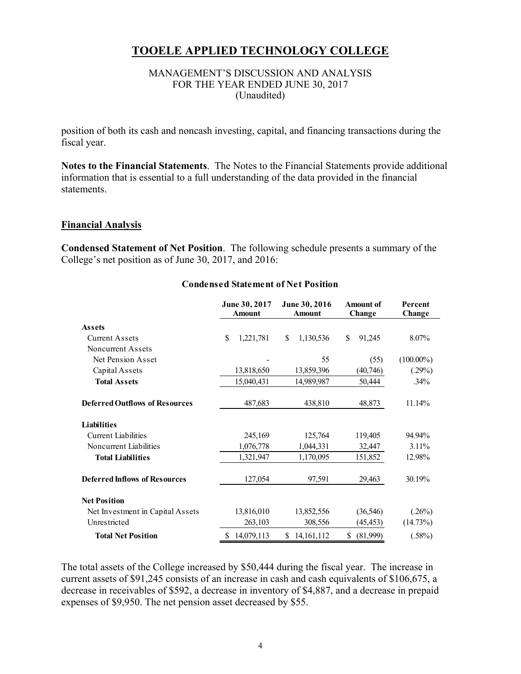#### MANAGEMENT'S DISCUSSION AND ANALYSIS FOR THE YEAR ENDED JUNE 30, 2017 (Unaudited)

position of both its cash and noncash investing, capital, and financing transactions during the fiscal year.

**Notes to the Financial Statements**. The Notes to the Financial Statements provide additional information that is essential to a full understanding of the data provided in the financial statements.

#### **Financial Analysis**

**Condensed Statement of Net Position**. The following schedule presents a summary of the College's net position as of June 30, 2017, and 2016:

|                                       | June 30, 2017<br><b>Amount</b> | June 30, 2016<br><b>Amount</b> | <b>Amount of</b><br>Change | Percent<br>Change |  |
|---------------------------------------|--------------------------------|--------------------------------|----------------------------|-------------------|--|
| <b>Assets</b>                         |                                |                                |                            |                   |  |
| Current Assets                        | \$<br>1,221,781                | \$<br>1,130,536                | \$<br>91,245               | 8.07%             |  |
| Noncurrent Assets                     |                                |                                |                            |                   |  |
| Net Pension Asset                     |                                | 55                             | (55)                       | $(100.00\%)$      |  |
| Capital Assets                        | 13,818,650                     | 13,859,396                     | (40,746)                   | (.29%)            |  |
| <b>Total Assets</b>                   | 15,040,431                     | 14,989,987                     | 50,444                     | .34%              |  |
| <b>Deferred Outflows of Resources</b> | 487,683                        | 438,810                        | 48,873                     | 11.14%            |  |
| <b>Liabilities</b>                    |                                |                                |                            |                   |  |
| <b>Current Liabilities</b>            | 245,169                        | 125,764                        | 119,405                    | 94.94%            |  |
| Noncurrent Liabilities                | 1,076,778                      | 1,044,331                      | 32,447                     | $3.11\%$          |  |
| <b>Total Liabilities</b>              | 1,321,947                      | 1,170,095                      | 151,852                    | 12.98%            |  |
| <b>Deferred Inflows of Resources</b>  | 127,054                        | 97,591                         | 29,463                     | 30.19%            |  |
| <b>Net Position</b>                   |                                |                                |                            |                   |  |
| Net Investment in Capital Assets      | 13,816,010                     | 13,852,556                     | (36, 546)                  | (.26%)            |  |
| Unrestricted                          | 263,103                        | 308,556                        | (45, 453)                  | (14.73%)          |  |
| <b>Total Net Position</b>             | 14,079,113<br>S                | S<br>14, 161, 112              | \$<br>(81,999)             | $(.58\%)$         |  |

#### **Condensed Statement of Net Position**

The total assets of the College increased by \$50,444 during the fiscal year. The increase in current assets of \$91,245 consists of an increase in cash and cash equivalents of \$106,675, a decrease in receivables of \$592, a decrease in inventory of \$4,887, and a decrease in prepaid expenses of \$9,950. The net pension asset decreased by \$55.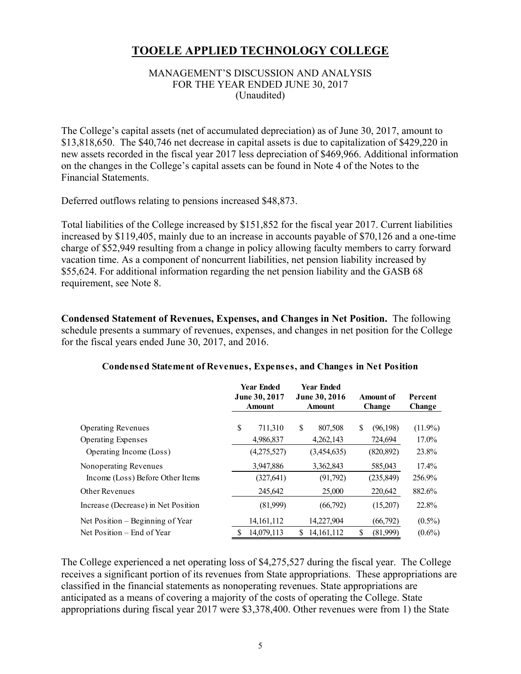#### MANAGEMENT'S DISCUSSION AND ANALYSIS FOR THE YEAR ENDED JUNE 30, 2017 (Unaudited)

The College's capital assets (net of accumulated depreciation) as of June 30, 2017, amount to \$13,818,650. The \$40,746 net decrease in capital assets is due to capitalization of \$429,220 in new assets recorded in the fiscal year 2017 less depreciation of \$469,966. Additional information on the changes in the College's capital assets can be found in Note 4 of the Notes to the Financial Statements.

Deferred outflows relating to pensions increased \$48,873.

Total liabilities of the College increased by \$151,852 for the fiscal year 2017. Current liabilities increased by \$119,405, mainly due to an increase in accounts payable of \$70,126 and a one-time charge of \$52,949 resulting from a change in policy allowing faculty members to carry forward vacation time. As a component of noncurrent liabilities, net pension liability increased by \$55,624. For additional information regarding the net pension liability and the GASB 68 requirement, see Note 8.

**Condensed Statement of Revenues, Expenses, and Changes in Net Position.** The following schedule presents a summary of revenues, expenses, and changes in net position for the College for the fiscal years ended June 30, 2017, and 2016.

|                                     | <b>Year Ended</b><br>June 30, 2017<br><b>Amount</b> |    | <b>Year Ended</b><br>June 30, 2016<br><b>Amount</b> |    | Amount of<br><b>Change</b> | Percent<br>Change |  |
|-------------------------------------|-----------------------------------------------------|----|-----------------------------------------------------|----|----------------------------|-------------------|--|
| <b>Operating Revenues</b>           | \$<br>711,310                                       | \$ | 807,508                                             | S  | (96, 198)                  | $(11.9\%)$        |  |
| <b>Operating Expenses</b>           | 4,986,837                                           |    | 4,262,143                                           |    | 724,694                    | 17.0%             |  |
| Operating Income (Loss)             | (4,275,527)                                         |    | (3,454,635)                                         |    | (820, 892)                 | 23.8%             |  |
| Nonoperating Revenues               | 3,947,886                                           |    | 3,362,843                                           |    | 585,043                    | $17.4\%$          |  |
| Income (Loss) Before Other Items    | (327, 641)                                          |    | (91,792)                                            |    | (235, 849)                 | 256.9%            |  |
| <b>Other Revenues</b>               | 245,642                                             |    | 25,000                                              |    | 220,642                    | 882.6%            |  |
| Increase (Decrease) in Net Position | (81,999)                                            |    | (66,792)                                            |    | (15,207)                   | 22.8%             |  |
| Net Position – Beginning of Year    | 14, 161, 112                                        |    | 14,227,904                                          |    | (66,792)                   | $(0.5\%)$         |  |
| Net Position – End of Year          | 14,079,113                                          | S. | 14, 161, 112                                        | \$ | (81,999)                   | $(0.6\%)$         |  |

#### **Condensed Statement of Revenues, Expenses, and Changes in Net Position**

The College experienced a net operating loss of \$4,275,527 during the fiscal year. The College receives a significant portion of its revenues from State appropriations. These appropriations are classified in the financial statements as nonoperating revenues. State appropriations are anticipated as a means of covering a majority of the costs of operating the College. State appropriations during fiscal year 2017 were \$3,378,400. Other revenues were from 1) the State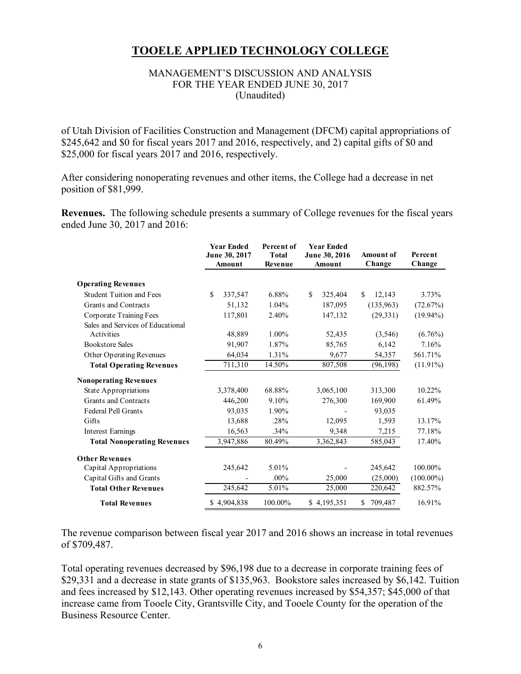#### MANAGEMENT'S DISCUSSION AND ANALYSIS FOR THE YEAR ENDED JUNE 30, 2017 (Unaudited)

of Utah Division of Facilities Construction and Management (DFCM) capital appropriations of \$245,642 and \$0 for fiscal years 2017 and 2016, respectively, and 2) capital gifts of \$0 and \$25,000 for fiscal years 2017 and 2016, respectively.

After considering nonoperating revenues and other items, the College had a decrease in net position of \$81,999.

**Revenues.** The following schedule presents a summary of College revenues for the fiscal years ended June 30, 2017 and 2016:

|                                    | <b>Year Ended</b><br>June 30, 2017<br>Amount | Percent of<br><b>Total</b><br>Revenue | <b>Year Ended</b><br>June 30, 2016<br>Amount | <b>Amount of</b><br>Change | Percent<br>Change |
|------------------------------------|----------------------------------------------|---------------------------------------|----------------------------------------------|----------------------------|-------------------|
| <b>Operating Revenues</b>          |                                              |                                       |                                              |                            |                   |
| <b>Student Tuition and Fees</b>    | <sup>\$</sup><br>337,547                     | 6.88%                                 | \$<br>325,404                                | \$.<br>12,143              | 3.73%             |
| <b>Grants and Contracts</b>        | 51,132                                       | 1.04%                                 | 187,095                                      | (135,963)                  | (72.67%)          |
| Corporate Training Fees            | 117,801                                      | 2.40%                                 | 147,132                                      | (29, 331)                  | $(19.94\%)$       |
| Sales and Services of Educational  |                                              |                                       |                                              |                            |                   |
| Activities                         | 48,889                                       | 1.00%                                 | 52,435                                       | (3,546)                    | $(6.76\%)$        |
| <b>Bookstore Sales</b>             | 91,907                                       | 1.87%                                 | 85,765                                       | 6,142                      | 7.16%             |
| Other Operating Revenues           | 64,034                                       | 1.31%                                 | 9,677                                        | 54,357                     | 561.71%           |
| <b>Total Operating Revenues</b>    | 711,310                                      | 14.50%                                | 807,508                                      | (96, 198)                  | $(11.91\%)$       |
| <b>Nonoperating Revenues</b>       |                                              |                                       |                                              |                            |                   |
| State Appropriations               | 3,378,400                                    | 68.88%                                | 3,065,100                                    | 313,300                    | 10.22%            |
| Grants and Contracts               | 446,200                                      | 9.10%                                 | 276,300                                      | 169,900                    | 61.49%            |
| <b>Federal Pell Grants</b>         | 93,035                                       | 1.90%                                 |                                              | 93,035                     |                   |
| Gifts                              | 13,688                                       | .28%                                  | 12,095                                       | 1,593                      | 13.17%            |
| <b>Interest Earnings</b>           | 16,563                                       | .34%                                  | 9,348                                        | 7,215                      | 77.18%            |
| <b>Total Nonoperating Revenues</b> | 3,947,886                                    | 80.49%                                | 3,362,843                                    | 585,043                    | 17.40%            |
| <b>Other Revenues</b>              |                                              |                                       |                                              |                            |                   |
| Capital Appropriations             | 245,642                                      | 5.01%                                 |                                              | 245,642                    | 100.00%           |
| Capital Gifts and Grants           |                                              | $.00\%$                               | 25,000                                       | (25,000)                   | $(100.00\%)$      |
| <b>Total Other Revenues</b>        | 245,642                                      | 5.01%                                 | 25,000                                       | 220,642                    | 882.57%           |
| <b>Total Revenues</b>              | \$4,904,838                                  | 100.00%                               | \$4,195,351                                  | 709,487<br>S.              | 16.91%            |

The revenue comparison between fiscal year 2017 and 2016 shows an increase in total revenues of \$709,487.

Total operating revenues decreased by \$96,198 due to a decrease in corporate training fees of \$29,331 and a decrease in state grants of \$135,963. Bookstore sales increased by \$6,142. Tuition and fees increased by \$12,143. Other operating revenues increased by \$54,357; \$45,000 of that increase came from Tooele City, Grantsville City, and Tooele County for the operation of the Business Resource Center.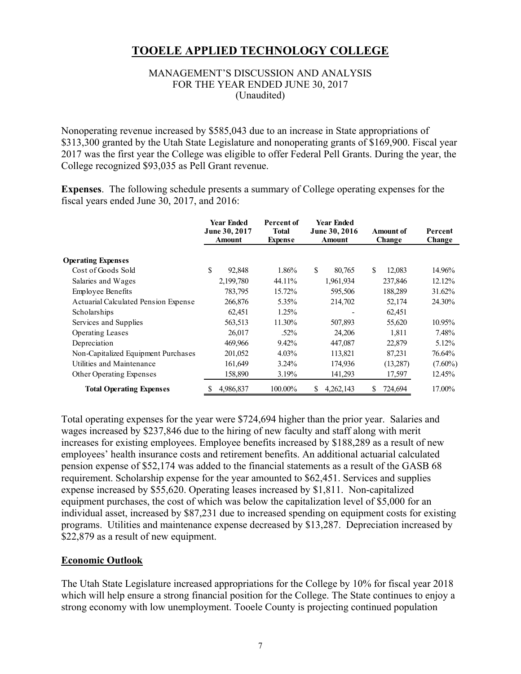#### MANAGEMENT'S DISCUSSION AND ANALYSIS FOR THE YEAR ENDED JUNE 30, 2017 (Unaudited)

Nonoperating revenue increased by \$585,043 due to an increase in State appropriations of \$313,300 granted by the Utah State Legislature and nonoperating grants of \$169,900. Fiscal year 2017 was the first year the College was eligible to offer Federal Pell Grants. During the year, the College recognized \$93,035 as Pell Grant revenue.

**Expenses**. The following schedule presents a summary of College operating expenses for the fiscal years ended June 30, 2017, and 2016:

|                                      | Year Ended<br>June 30, 2017<br><b>Amount</b> | Percent of<br><b>Total</b><br><b>Expense</b> |    | <b>Year Ended</b><br>June 30, 2016<br><b>Amount</b> |   | Amount of<br>Change | Percent<br>Change |
|--------------------------------------|----------------------------------------------|----------------------------------------------|----|-----------------------------------------------------|---|---------------------|-------------------|
| <b>Operating Expenses</b>            |                                              |                                              |    |                                                     |   |                     |                   |
| Cost of Goods Sold                   | \$<br>92,848                                 | 1.86%                                        | \$ | 80,765                                              | S | 12.083              | 14.96%            |
| Salaries and Wages                   | 2,199,780                                    | 44.11%                                       |    | 1,961,934                                           |   | 237,846             | 12.12%            |
| <b>Employee Benefits</b>             | 783,795                                      | 15.72%                                       |    | 595,506                                             |   | 188,289             | 31.62%            |
| Actuarial Calculated Pension Expense | 266,876                                      | 5.35%                                        |    | 214,702                                             |   | 52,174              | 24.30%            |
| Scholarships                         | 62,451                                       | 1.25%                                        |    |                                                     |   | 62,451              |                   |
| Services and Supplies                | 563,513                                      | 11.30%                                       |    | 507,893                                             |   | 55,620              | 10.95%            |
| <b>Operating Leases</b>              | 26,017                                       | .52%                                         |    | 24,206                                              |   | 1.811               | 7.48%             |
| Depreciation                         | 469,966                                      | 9.42%                                        |    | 447,087                                             |   | 22,879              | 5.12%             |
| Non-Capitalized Equipment Purchases  | 201,052                                      | $4.03\%$                                     |    | 113,821                                             |   | 87,231              | 76.64%            |
| Utilities and Maintenance            | 161,649                                      | $3.24\%$                                     |    | 174,936                                             |   | (13,287)            | $(7.60\%)$        |
| Other Operating Expenses             | 158,890                                      | 3.19%                                        |    | 141,293                                             |   | 17,597              | 12.45%            |
| <b>Total Operating Expenses</b>      | 4,986,837                                    | 100.00%                                      | S  | 4,262,143                                           | S | 724,694             | 17.00%            |

Total operating expenses for the year were \$724,694 higher than the prior year. Salaries and wages increased by \$237,846 due to the hiring of new faculty and staff along with merit increases for existing employees. Employee benefits increased by \$188,289 as a result of new employees' health insurance costs and retirement benefits. An additional actuarial calculated pension expense of \$52,174 was added to the financial statements as a result of the GASB 68 requirement. Scholarship expense for the year amounted to \$62,451. Services and supplies expense increased by \$55,620. Operating leases increased by \$1,811. Non-capitalized equipment purchases, the cost of which was below the capitalization level of \$5,000 for an individual asset, increased by \$87,231 due to increased spending on equipment costs for existing programs. Utilities and maintenance expense decreased by \$13,287. Depreciation increased by \$22,879 as a result of new equipment.

#### **Economic Outlook**

The Utah State Legislature increased appropriations for the College by 10% for fiscal year 2018 which will help ensure a strong financial position for the College. The State continues to enjoy a strong economy with low unemployment. Tooele County is projecting continued population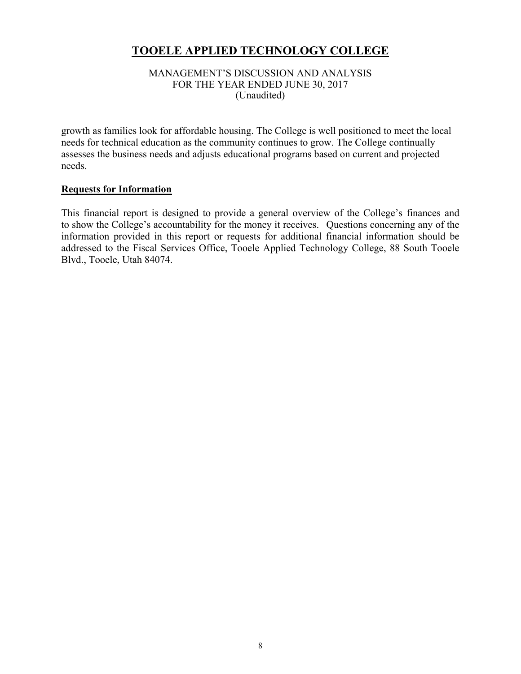#### MANAGEMENT'S DISCUSSION AND ANALYSIS FOR THE YEAR ENDED JUNE 30, 2017 (Unaudited)

growth as families look for affordable housing. The College is well positioned to meet the local needs for technical education as the community continues to grow. The College continually assesses the business needs and adjusts educational programs based on current and projected needs.

#### **Requests for Information**

This financial report is designed to provide a general overview of the College's finances and to show the College's accountability for the money it receives. Questions concerning any of the information provided in this report or requests for additional financial information should be addressed to the Fiscal Services Office, Tooele Applied Technology College, 88 South Tooele Blvd., Tooele, Utah 84074.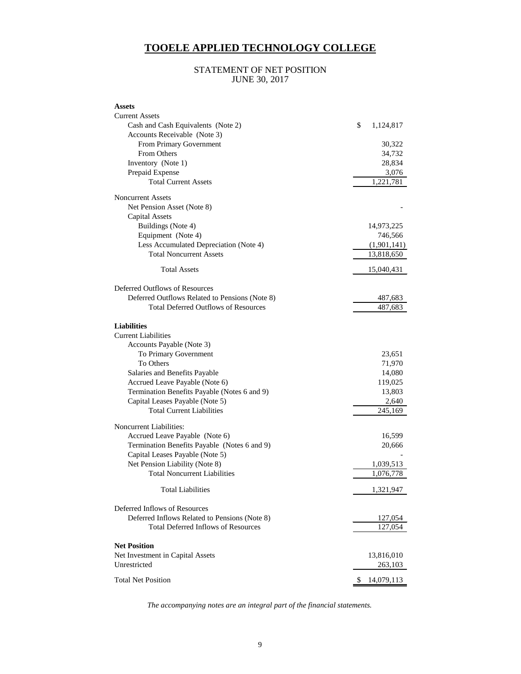#### STATEMENT OF NET POSITION JUNE 30, 2017

| <b>Assets</b>                                  |                  |
|------------------------------------------------|------------------|
| <b>Current Assets</b>                          |                  |
| Cash and Cash Equivalents (Note 2)             | \$<br>1,124,817  |
| Accounts Receivable (Note 3)                   |                  |
| From Primary Government                        | 30,322           |
| From Others                                    | 34,732           |
| Inventory (Note 1)                             | 28,834           |
| Prepaid Expense                                | 3,076            |
| <b>Total Current Assets</b>                    | 1,221,781        |
| <b>Noncurrent Assets</b>                       |                  |
| Net Pension Asset (Note 8)                     |                  |
| <b>Capital Assets</b>                          |                  |
| Buildings (Note 4)                             | 14,973,225       |
| Equipment (Note 4)                             | 746,566          |
| Less Accumulated Depreciation (Note 4)         | (1,901,141)      |
| <b>Total Noncurrent Assets</b>                 | 13,818,650       |
| <b>Total Assets</b>                            | 15,040,431       |
| Deferred Outflows of Resources                 |                  |
| Deferred Outflows Related to Pensions (Note 8) | 487,683          |
| <b>Total Deferred Outflows of Resources</b>    | 487,683          |
|                                                |                  |
| <b>Liabilities</b>                             |                  |
| <b>Current Liabilities</b>                     |                  |
| Accounts Payable (Note 3)                      |                  |
| To Primary Government                          | 23,651           |
| To Others                                      | 71,970           |
| Salaries and Benefits Payable                  | 14,080           |
| Accrued Leave Payable (Note 6)                 | 119,025          |
| Termination Benefits Payable (Notes 6 and 9)   | 13,803           |
| Capital Leases Payable (Note 5)                | 2,640            |
| <b>Total Current Liabilities</b>               | 245,169          |
| <b>Noncurrent Liabilities:</b>                 |                  |
| Accrued Leave Payable (Note 6)                 | 16,599           |
| Termination Benefits Payable (Notes 6 and 9)   | 20,666           |
| Capital Leases Payable (Note 5)                |                  |
| Net Pension Liability (Note 8)                 | 1,039,513        |
| <b>Total Noncurrent Liabilities</b>            | 1,076,778        |
| <b>Total Liabilities</b>                       | 1,321,947        |
|                                                |                  |
| Deferred Inflows of Resources                  |                  |
| Deferred Inflows Related to Pensions (Note 8)  | 127,054          |
| <b>Total Deferred Inflows of Resources</b>     | 127,054          |
| <b>Net Position</b>                            |                  |
| Net Investment in Capital Assets               | 13,816,010       |
| Unrestricted                                   | 263,103          |
|                                                |                  |
| <b>Total Net Position</b>                      | \$<br>14,079,113 |

*The accompanying notes are an integral part of the financial statements.*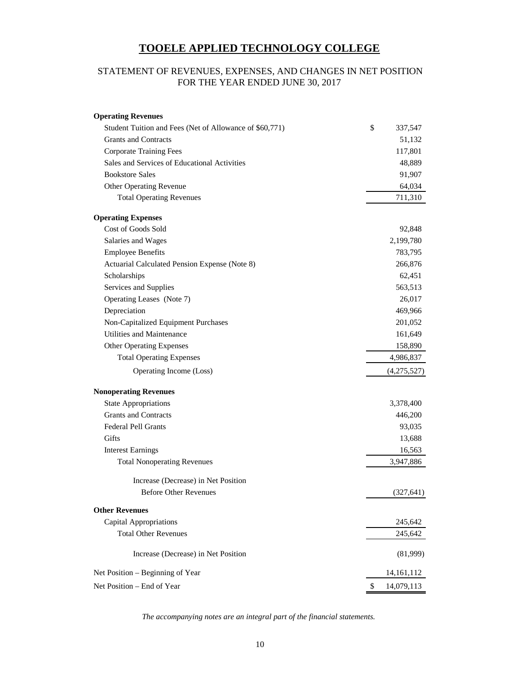### STATEMENT OF REVENUES, EXPENSES, AND CHANGES IN NET POSITION FOR THE YEAR ENDED JUNE 30, 2017

| <b>Operating Revenues</b>                               |               |
|---------------------------------------------------------|---------------|
| Student Tuition and Fees (Net of Allowance of \$60,771) | \$<br>337,547 |
| <b>Grants and Contracts</b>                             | 51,132        |
| <b>Corporate Training Fees</b>                          | 117,801       |
| Sales and Services of Educational Activities            | 48,889        |
| <b>Bookstore Sales</b>                                  | 91,907        |
| <b>Other Operating Revenue</b>                          | 64,034        |
| <b>Total Operating Revenues</b>                         | 711,310       |
| <b>Operating Expenses</b>                               |               |
| Cost of Goods Sold                                      | 92,848        |
| Salaries and Wages                                      | 2,199,780     |
| <b>Employee Benefits</b>                                | 783,795       |
| Actuarial Calculated Pension Expense (Note 8)           | 266,876       |
| Scholarships                                            | 62,451        |
| Services and Supplies                                   | 563,513       |
| Operating Leases (Note 7)                               | 26,017        |
| Depreciation                                            | 469,966       |
| Non-Capitalized Equipment Purchases                     | 201,052       |
| Utilities and Maintenance                               | 161,649       |
| <b>Other Operating Expenses</b>                         | 158,890       |
| <b>Total Operating Expenses</b>                         | 4,986,837     |
| Operating Income (Loss)                                 | (4,275,527)   |
| <b>Nonoperating Revenues</b>                            |               |
| <b>State Appropriations</b>                             | 3,378,400     |
| <b>Grants and Contracts</b>                             | 446,200       |
| <b>Federal Pell Grants</b>                              | 93,035        |
| Gifts                                                   | 13,688        |
| <b>Interest Earnings</b>                                | 16,563        |
| <b>Total Nonoperating Revenues</b>                      | 3.947.886     |
| Increase (Decrease) in Net Position                     |               |
| <b>Before Other Revenues</b>                            | (327, 641)    |
| <b>Other Revenues</b>                                   |               |
| <b>Capital Appropriations</b>                           | 245,642       |
| <b>Total Other Revenues</b>                             | 245,642       |
| Increase (Decrease) in Net Position                     | (81,999)      |
| Net Position – Beginning of Year                        | 14, 161, 112  |
| Net Position - End of Year                              | 14,079,113    |

*The accompanying notes are an integral part of the financial statements.*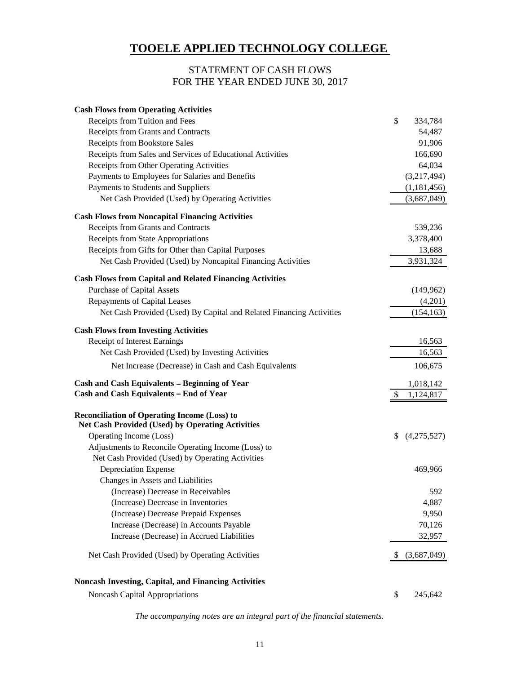#### STATEMENT OF CASH FLOWS FOR THE YEAR ENDED JUNE 30, 2017

| <b>Cash Flows from Operating Activities</b>                                                                    |                   |
|----------------------------------------------------------------------------------------------------------------|-------------------|
| Receipts from Tuition and Fees                                                                                 | \$<br>334,784     |
| Receipts from Grants and Contracts                                                                             | 54,487            |
| Receipts from Bookstore Sales                                                                                  | 91,906            |
| Receipts from Sales and Services of Educational Activities                                                     | 166,690           |
| Receipts from Other Operating Activities                                                                       | 64,034            |
| Payments to Employees for Salaries and Benefits                                                                | (3,217,494)       |
| Payments to Students and Suppliers                                                                             | (1,181,456)       |
| Net Cash Provided (Used) by Operating Activities                                                               | (3,687,049)       |
| <b>Cash Flows from Noncapital Financing Activities</b>                                                         |                   |
| Receipts from Grants and Contracts                                                                             | 539,236           |
| Receipts from State Appropriations                                                                             | 3,378,400         |
| Receipts from Gifts for Other than Capital Purposes                                                            | 13,688            |
| Net Cash Provided (Used) by Noncapital Financing Activities                                                    | 3,931,324         |
| <b>Cash Flows from Capital and Related Financing Activities</b>                                                |                   |
| <b>Purchase of Capital Assets</b>                                                                              | (149, 962)        |
| <b>Repayments of Capital Leases</b>                                                                            | (4,201)           |
| Net Cash Provided (Used) By Capital and Related Financing Activities                                           | (154, 163)        |
| <b>Cash Flows from Investing Activities</b>                                                                    |                   |
| <b>Receipt of Interest Earnings</b>                                                                            | 16,563            |
| Net Cash Provided (Used) by Investing Activities                                                               | 16,563            |
| Net Increase (Decrease) in Cash and Cash Equivalents                                                           | 106,675           |
| Cash and Cash Equivalents - Beginning of Year                                                                  | 1,018,142         |
| Cash and Cash Equivalents - End of Year                                                                        | \$<br>1,124,817   |
| <b>Reconciliation of Operating Income (Loss) to</b><br><b>Net Cash Provided (Used) by Operating Activities</b> |                   |
| Operating Income (Loss)                                                                                        | \$<br>(4,275,527) |
| Adjustments to Reconcile Operating Income (Loss) to                                                            |                   |
| Net Cash Provided (Used) by Operating Activities                                                               |                   |
| Depreciation Expense                                                                                           | 469,966           |
| Changes in Assets and Liabilities                                                                              |                   |
| (Increase) Decrease in Receivables                                                                             | 592               |
| (Increase) Decrease in Inventories                                                                             | 4,887             |
| (Increase) Decrease Prepaid Expenses                                                                           | 9,950             |
| Increase (Decrease) in Accounts Payable                                                                        | 70,126            |
| Increase (Decrease) in Accrued Liabilities                                                                     | 32,957            |
| Net Cash Provided (Used) by Operating Activities                                                               | (3,687,049)       |
| <b>Noncash Investing, Capital, and Financing Activities</b>                                                    |                   |
| <b>Noncash Capital Appropriations</b>                                                                          | \$<br>245,642     |

*The accompanying notes are an integral part of the financial statements.*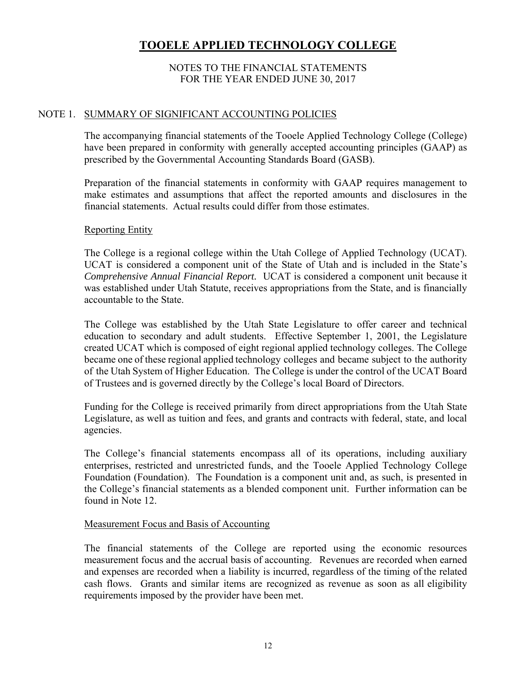#### NOTES TO THE FINANCIAL STATEMENTS FOR THE YEAR ENDED JUNE 30, 2017

#### NOTE 1. SUMMARY OF SIGNIFICANT ACCOUNTING POLICIES

The accompanying financial statements of the Tooele Applied Technology College (College) have been prepared in conformity with generally accepted accounting principles (GAAP) as prescribed by the Governmental Accounting Standards Board (GASB).

Preparation of the financial statements in conformity with GAAP requires management to make estimates and assumptions that affect the reported amounts and disclosures in the financial statements. Actual results could differ from those estimates.

#### Reporting Entity

The College is a regional college within the Utah College of Applied Technology (UCAT). UCAT is considered a component unit of the State of Utah and is included in the State's *Comprehensive Annual Financial Report.* UCAT is considered a component unit because it was established under Utah Statute, receives appropriations from the State, and is financially accountable to the State.

The College was established by the Utah State Legislature to offer career and technical education to secondary and adult students. Effective September 1, 2001, the Legislature created UCAT which is composed of eight regional applied technology colleges. The College became one of these regional applied technology colleges and became subject to the authority of the Utah System of Higher Education. The College is under the control of the UCAT Board of Trustees and is governed directly by the College's local Board of Directors.

Funding for the College is received primarily from direct appropriations from the Utah State Legislature, as well as tuition and fees, and grants and contracts with federal, state, and local agencies.

The College's financial statements encompass all of its operations, including auxiliary enterprises, restricted and unrestricted funds, and the Tooele Applied Technology College Foundation (Foundation). The Foundation is a component unit and, as such, is presented in the College's financial statements as a blended component unit. Further information can be found in Note 12.

#### Measurement Focus and Basis of Accounting

The financial statements of the College are reported using the economic resources measurement focus and the accrual basis of accounting. Revenues are recorded when earned and expenses are recorded when a liability is incurred, regardless of the timing of the related cash flows. Grants and similar items are recognized as revenue as soon as all eligibility requirements imposed by the provider have been met.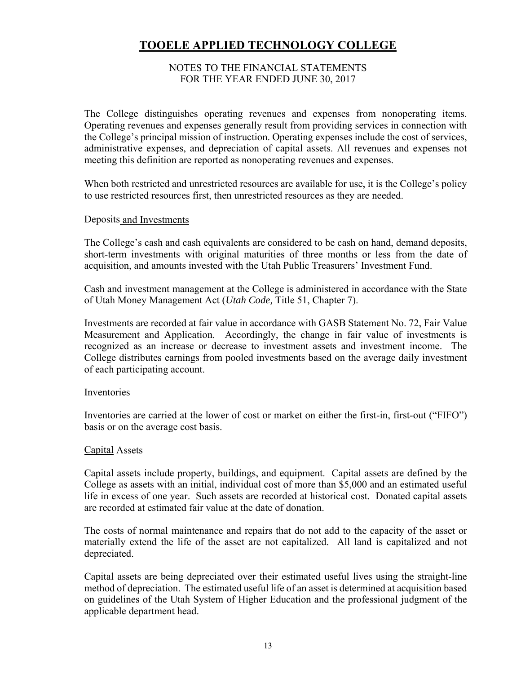#### NOTES TO THE FINANCIAL STATEMENTS FOR THE YEAR ENDED JUNE 30, 2017

The College distinguishes operating revenues and expenses from nonoperating items. Operating revenues and expenses generally result from providing services in connection with the College's principal mission of instruction. Operating expenses include the cost of services, administrative expenses, and depreciation of capital assets. All revenues and expenses not meeting this definition are reported as nonoperating revenues and expenses.

When both restricted and unrestricted resources are available for use, it is the College's policy to use restricted resources first, then unrestricted resources as they are needed.

#### Deposits and Investments

The College's cash and cash equivalents are considered to be cash on hand, demand deposits, short-term investments with original maturities of three months or less from the date of acquisition, and amounts invested with the Utah Public Treasurers' Investment Fund.

Cash and investment management at the College is administered in accordance with the State of Utah Money Management Act (*Utah Code,* Title 51, Chapter 7).

Investments are recorded at fair value in accordance with GASB Statement No. 72, Fair Value Measurement and Application. Accordingly, the change in fair value of investments is recognized as an increase or decrease to investment assets and investment income. The College distributes earnings from pooled investments based on the average daily investment of each participating account.

#### Inventories

Inventories are carried at the lower of cost or market on either the first-in, first-out ("FIFO") basis or on the average cost basis.

#### Capital Assets

Capital assets include property, buildings, and equipment. Capital assets are defined by the College as assets with an initial, individual cost of more than \$5,000 and an estimated useful life in excess of one year. Such assets are recorded at historical cost. Donated capital assets are recorded at estimated fair value at the date of donation.

The costs of normal maintenance and repairs that do not add to the capacity of the asset or materially extend the life of the asset are not capitalized. All land is capitalized and not depreciated.

Capital assets are being depreciated over their estimated useful lives using the straight-line method of depreciation. The estimated useful life of an asset is determined at acquisition based on guidelines of the Utah System of Higher Education and the professional judgment of the applicable department head.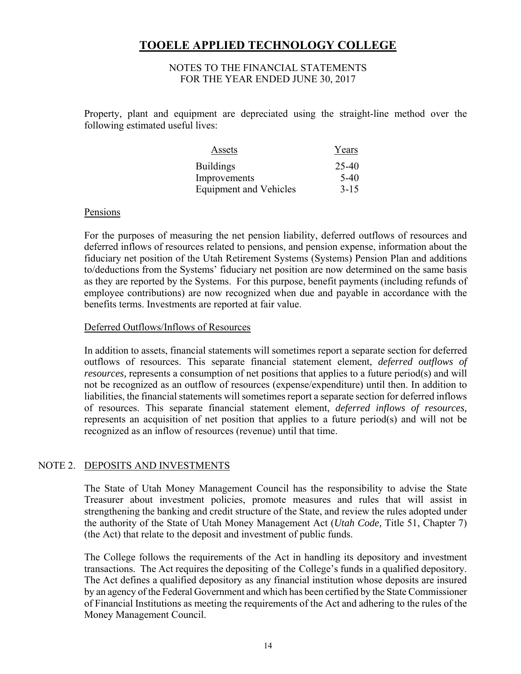#### NOTES TO THE FINANCIAL STATEMENTS FOR THE YEAR ENDED JUNE 30, 2017

Property, plant and equipment are depreciated using the straight-line method over the following estimated useful lives:

| Assets                        | Years    |
|-------------------------------|----------|
| Buildings                     | 25-40    |
| Improvements                  | $5-40$   |
| <b>Equipment and Vehicles</b> | $3 - 15$ |

#### Pensions

For the purposes of measuring the net pension liability, deferred outflows of resources and deferred inflows of resources related to pensions, and pension expense, information about the fiduciary net position of the Utah Retirement Systems (Systems) Pension Plan and additions to/deductions from the Systems' fiduciary net position are now determined on the same basis as they are reported by the Systems. For this purpose, benefit payments (including refunds of employee contributions) are now recognized when due and payable in accordance with the benefits terms. Investments are reported at fair value.

#### Deferred Outflows/Inflows of Resources

In addition to assets, financial statements will sometimes report a separate section for deferred outflows of resources. This separate financial statement element, *deferred outflows of resources,* represents a consumption of net positions that applies to a future period(s) and will not be recognized as an outflow of resources (expense/expenditure) until then. In addition to liabilities, the financial statements will sometimes report a separate section for deferred inflows of resources. This separate financial statement element, *deferred inflows of resources,*  represents an acquisition of net position that applies to a future period(s) and will not be recognized as an inflow of resources (revenue) until that time.

#### NOTE 2. DEPOSITS AND INVESTMENTS

The State of Utah Money Management Council has the responsibility to advise the State Treasurer about investment policies, promote measures and rules that will assist in strengthening the banking and credit structure of the State, and review the rules adopted under the authority of the State of Utah Money Management Act (*Utah Code,* Title 51, Chapter 7) (the Act) that relate to the deposit and investment of public funds.

The College follows the requirements of the Act in handling its depository and investment transactions. The Act requires the depositing of the College's funds in a qualified depository. The Act defines a qualified depository as any financial institution whose deposits are insured by an agency of the Federal Government and which has been certified by the State Commissioner of Financial Institutions as meeting the requirements of the Act and adhering to the rules of the Money Management Council.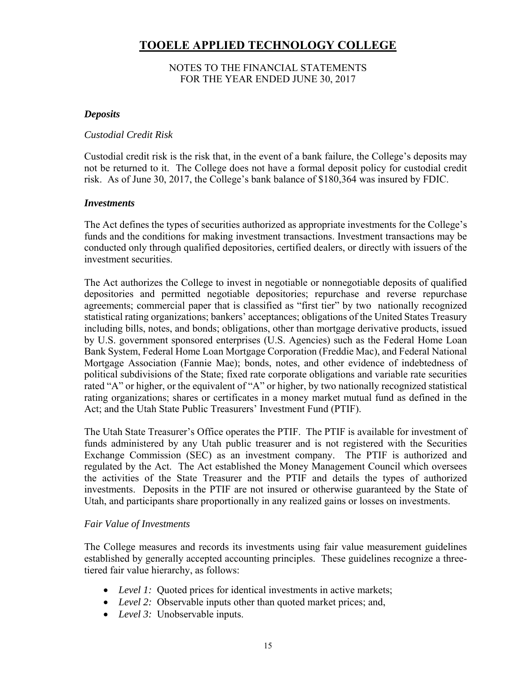#### NOTES TO THE FINANCIAL STATEMENTS FOR THE YEAR ENDED JUNE 30, 2017

#### *Deposits*

#### *Custodial Credit Risk*

Custodial credit risk is the risk that, in the event of a bank failure, the College's deposits may not be returned to it. The College does not have a formal deposit policy for custodial credit risk. As of June 30, 2017, the College's bank balance of \$180,364 was insured by FDIC.

#### *Investments*

The Act defines the types of securities authorized as appropriate investments for the College's funds and the conditions for making investment transactions. Investment transactions may be conducted only through qualified depositories, certified dealers, or directly with issuers of the investment securities.

The Act authorizes the College to invest in negotiable or nonnegotiable deposits of qualified depositories and permitted negotiable depositories; repurchase and reverse repurchase agreements; commercial paper that is classified as "first tier" by two nationally recognized statistical rating organizations; bankers' acceptances; obligations of the United States Treasury including bills, notes, and bonds; obligations, other than mortgage derivative products, issued by U.S. government sponsored enterprises (U.S. Agencies) such as the Federal Home Loan Bank System, Federal Home Loan Mortgage Corporation (Freddie Mac), and Federal National Mortgage Association (Fannie Mae); bonds, notes, and other evidence of indebtedness of political subdivisions of the State; fixed rate corporate obligations and variable rate securities rated "A" or higher, or the equivalent of "A" or higher, by two nationally recognized statistical rating organizations; shares or certificates in a money market mutual fund as defined in the Act; and the Utah State Public Treasurers' Investment Fund (PTIF).

The Utah State Treasurer's Office operates the PTIF. The PTIF is available for investment of funds administered by any Utah public treasurer and is not registered with the Securities Exchange Commission (SEC) as an investment company. The PTIF is authorized and regulated by the Act. The Act established the Money Management Council which oversees the activities of the State Treasurer and the PTIF and details the types of authorized investments. Deposits in the PTIF are not insured or otherwise guaranteed by the State of Utah, and participants share proportionally in any realized gains or losses on investments.

#### *Fair Value of Investments*

The College measures and records its investments using fair value measurement guidelines established by generally accepted accounting principles. These guidelines recognize a threetiered fair value hierarchy, as follows:

- Level 1: Quoted prices for identical investments in active markets;
- *Level 2:* Observable inputs other than quoted market prices; and,
- *Level 3:* Unobservable inputs.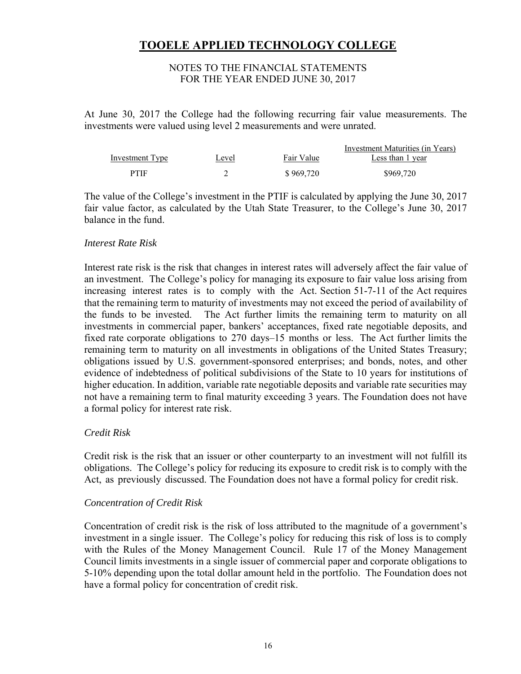#### NOTES TO THE FINANCIAL STATEMENTS FOR THE YEAR ENDED JUNE 30, 2017

At June 30, 2017 the College had the following recurring fair value measurements. The investments were valued using level 2 measurements and were unrated.

|                 |       |            | Investment Maturities (in Years) |
|-----------------|-------|------------|----------------------------------|
| Investment Type | Level | Fair Value | Less than 1 year                 |
| PTIF            |       | \$969,720  | \$969,720                        |

The value of the College's investment in the PTIF is calculated by applying the June 30, 2017 fair value factor, as calculated by the Utah State Treasurer, to the College's June 30, 2017 balance in the fund.

#### *Interest Rate Risk*

Interest rate risk is the risk that changes in interest rates will adversely affect the fair value of an investment. The College's policy for managing its exposure to fair value loss arising from increasing interest rates is to comply with the Act. Section 51-7-11 of the Act requires that the remaining term to maturity of investments may not exceed the period of availability of the funds to be invested. The Act further limits the remaining term to maturity on all investments in commercial paper, bankers' acceptances, fixed rate negotiable deposits, and fixed rate corporate obligations to 270 days–15 months or less. The Act further limits the remaining term to maturity on all investments in obligations of the United States Treasury; obligations issued by U.S. government-sponsored enterprises; and bonds, notes, and other evidence of indebtedness of political subdivisions of the State to 10 years for institutions of higher education. In addition, variable rate negotiable deposits and variable rate securities may not have a remaining term to final maturity exceeding 3 years. The Foundation does not have a formal policy for interest rate risk.

#### *Credit Risk*

Credit risk is the risk that an issuer or other counterparty to an investment will not fulfill its obligations. The College's policy for reducing its exposure to credit risk is to comply with the Act, as previously discussed. The Foundation does not have a formal policy for credit risk.

#### *Concentration of Credit Risk*

Concentration of credit risk is the risk of loss attributed to the magnitude of a government's investment in a single issuer. The College's policy for reducing this risk of loss is to comply with the Rules of the Money Management Council. Rule 17 of the Money Management Council limits investments in a single issuer of commercial paper and corporate obligations to 5-10% depending upon the total dollar amount held in the portfolio. The Foundation does not have a formal policy for concentration of credit risk.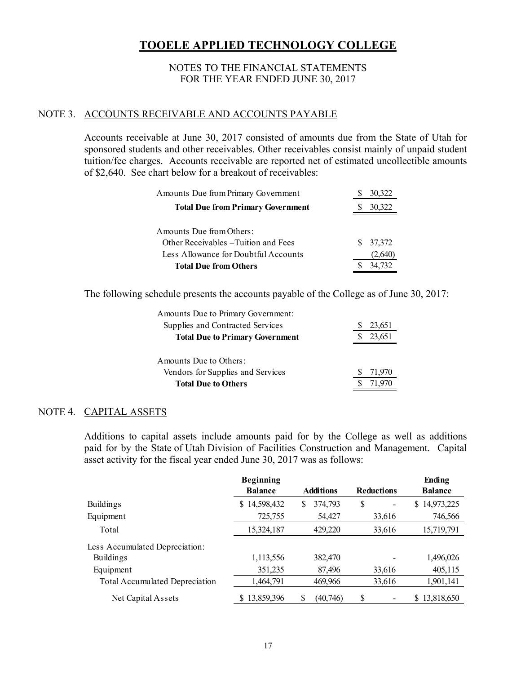#### NOTES TO THE FINANCIAL STATEMENTS FOR THE YEAR ENDED JUNE 30, 2017

#### NOTE 3. ACCOUNTS RECEIVABLE AND ACCOUNTS PAYABLE

Accounts receivable at June 30, 2017 consisted of amounts due from the State of Utah for sponsored students and other receivables. Other receivables consist mainly of unpaid student tuition/fee charges. Accounts receivable are reported net of estimated uncollectible amounts of \$2,640. See chart below for a breakout of receivables:

| Amounts Due from Primary Government      |    | 30,322 |
|------------------------------------------|----|--------|
| <b>Total Due from Primary Government</b> |    | 30,322 |
| Amounts Due from Others:                 |    |        |
| Other Receivables – Tuition and Fees     | S. | 37,372 |
| Less Allowance for Doubtful Accounts     |    | 2.6401 |
| <b>Total Due from Others</b>             |    | 34.732 |

The following schedule presents the accounts payable of the College as of June 30, 2017:

| 23,651 |
|--------|
| 23,651 |
|        |
|        |
| 71,970 |
| 71 970 |
|        |

#### NOTE 4. CAPITAL ASSETS

Additions to capital assets include amounts paid for by the College as well as additions paid for by the State of Utah Division of Facilities Construction and Management. Capital asset activity for the fiscal year ended June 30, 2017 was as follows:

|                                       | <b>Beginning</b> |                  |                   | <b>Ending</b>    |
|---------------------------------------|------------------|------------------|-------------------|------------------|
|                                       | <b>Balance</b>   | <b>Additions</b> | <b>Reductions</b> | <b>Balance</b>   |
| Buildings                             | 14,598,432<br>S  | 374,793<br>S     | \$                | 14,973,225<br>S. |
| Equipment                             | 725,755          | 54,427           | 33,616            | 746,566          |
| Total                                 | 15,324,187       | 429,220          | 33,616            | 15,719,791       |
| Less Accumulated Depreciation:        |                  |                  |                   |                  |
| <b>Buildings</b>                      | 1,113,556        | 382,470          |                   | 1,496,026        |
| Equipment                             | 351,235          | 87,496           | 33,616            | 405,115          |
| <b>Total Accumulated Depreciation</b> | 1,464,791        | 469,966          | 33,616            | 1,901,141        |
| Net Capital Assets                    | \$13,859,396     | (40, 746)<br>S   | S                 | \$13,818,650     |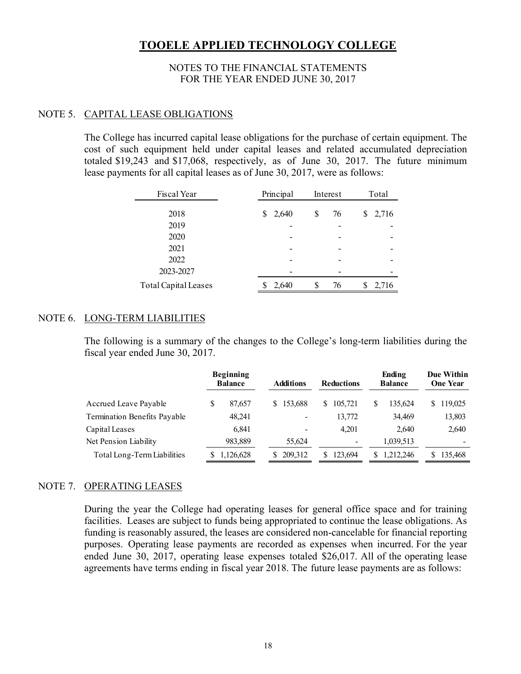#### NOTES TO THE FINANCIAL STATEMENTS FOR THE YEAR ENDED JUNE 30, 2017

#### NOTE 5. CAPITAL LEASE OBLIGATIONS

The College has incurred capital lease obligations for the purchase of certain equipment. The cost of such equipment held under capital leases and related accumulated depreciation totaled \$19,243 and \$17,068, respectively, as of June 30, 2017. The future minimum lease payments for all capital leases as of June 30, 2017, were as follows:

| Fiscal Year                 | Principal  | Interest | Total       |
|-----------------------------|------------|----------|-------------|
| 2018                        | 2,640<br>S | \$<br>76 | 2,716<br>\$ |
| 2019                        |            |          |             |
| 2020                        |            |          |             |
| 2021                        |            |          |             |
| 2022                        |            |          |             |
| 2023-2027                   |            |          |             |
| <b>Total Capital Leases</b> | 2,640      | 76       | 2,716       |

#### NOTE 6. LONG-TERM LIABILITIES

The following is a summary of the changes to the College's long-term liabilities during the fiscal year ended June 30, 2017.

|                              |   | <b>Beginning</b><br><b>Balance</b> |    | <b>Additions</b> |   | <b>Reductions</b>        |   | Ending<br><b>Balance</b> |   | <b>Due Within</b><br><b>One Year</b> |
|------------------------------|---|------------------------------------|----|------------------|---|--------------------------|---|--------------------------|---|--------------------------------------|
| Accrued Leave Payable        | S | 87,657                             | S. | 153,688          | S | 105,721                  | S | 135,624                  | S | 119,025                              |
| Termination Benefits Payable |   | 48,241                             |    |                  |   | 13,772                   |   | 34,469                   |   | 13,803                               |
| Capital Leases               |   | 6,841                              |    |                  |   | 4.201                    |   | 2,640                    |   | 2,640                                |
| Net Pension Liability        |   | 983,889                            |    | 55.624           |   | $\overline{\phantom{a}}$ |   | 1,039,513                |   | -                                    |
| Total Long-Term Liabilities  |   | 1,126,628                          | S. | 209,312          |   | 123,694                  | S | 1,212,246                |   | 135,468                              |

#### NOTE 7. OPERATING LEASES

During the year the College had operating leases for general office space and for training facilities. Leases are subject to funds being appropriated to continue the lease obligations. As funding is reasonably assured, the leases are considered non-cancelable for financial reporting purposes. Operating lease payments are recorded as expenses when incurred. For the year ended June 30, 2017, operating lease expenses totaled \$26,017. All of the operating lease agreements have terms ending in fiscal year 2018. The future lease payments are as follows: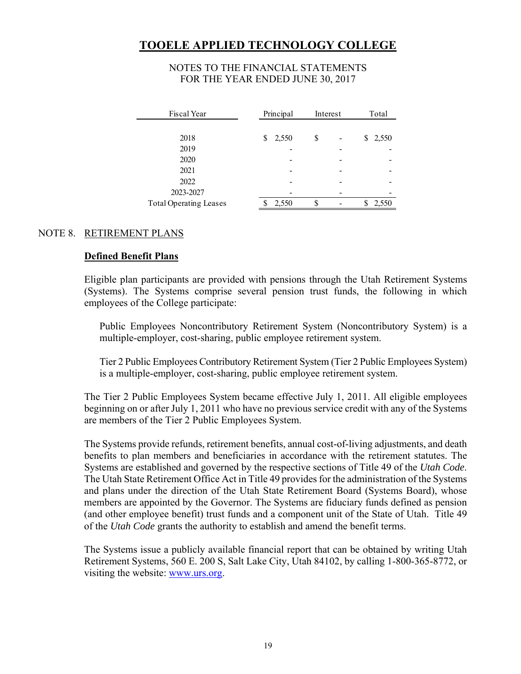#### NOTES TO THE FINANCIAL STATEMENTS FOR THE YEAR ENDED JUNE 30, 2017

| Fiscal Year                   | Principal  | Interest | Total       |
|-------------------------------|------------|----------|-------------|
|                               |            |          |             |
| 2018                          | 2,550<br>S | \$       | 2,550<br>\$ |
| 2019                          |            |          |             |
| 2020                          |            |          |             |
| 2021                          |            |          |             |
| 2022                          |            |          |             |
| 2023-2027                     |            |          |             |
| <b>Total Operating Leases</b> | 2,550      | S        | 550         |

#### NOTE 8. RETIREMENT PLANS

#### **Defined Benefit Plans**

Eligible plan participants are provided with pensions through the Utah Retirement Systems (Systems). The Systems comprise several pension trust funds, the following in which employees of the College participate:

Public Employees Noncontributory Retirement System (Noncontributory System) is a multiple-employer, cost-sharing, public employee retirement system.

Tier 2 Public Employees Contributory Retirement System (Tier 2 Public Employees System) is a multiple-employer, cost-sharing, public employee retirement system.

The Tier 2 Public Employees System became effective July 1, 2011. All eligible employees beginning on or after July 1, 2011 who have no previous service credit with any of the Systems are members of the Tier 2 Public Employees System.

The Systems provide refunds, retirement benefits, annual cost-of-living adjustments, and death benefits to plan members and beneficiaries in accordance with the retirement statutes. The Systems are established and governed by the respective sections of Title 49 of the *Utah Code*. The Utah State Retirement Office Act in Title 49 provides for the administration of the Systems and plans under the direction of the Utah State Retirement Board (Systems Board), whose members are appointed by the Governor. The Systems are fiduciary funds defined as pension (and other employee benefit) trust funds and a component unit of the State of Utah. Title 49 of the *Utah Code* grants the authority to establish and amend the benefit terms.

The Systems issue a publicly available financial report that can be obtained by writing Utah Retirement Systems, 560 E. 200 S, Salt Lake City, Utah 84102, by calling 1-800-365-8772, or visiting the website: www.urs.org.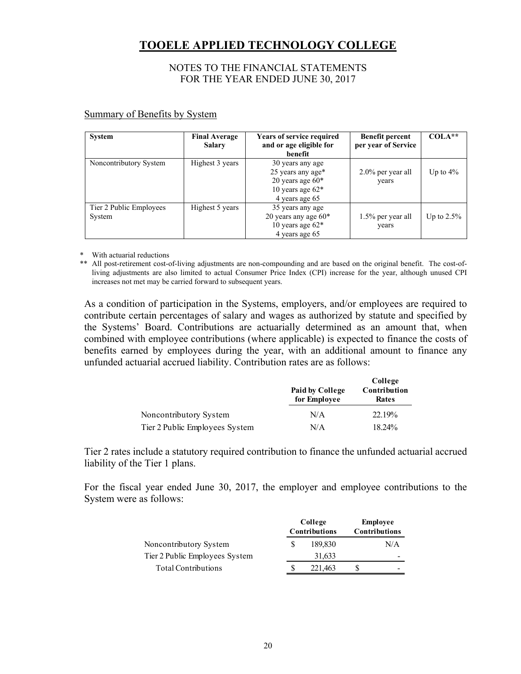#### NOTES TO THE FINANCIAL STATEMENTS FOR THE YEAR ENDED JUNE 30, 2017

| <b>System</b>                     | <b>Final Average</b><br><b>Salary</b> | Years of service required<br>and or age eligible for<br>benefit                                     | <b>Benefit percent</b><br>per year of Service | $COLA**$      |
|-----------------------------------|---------------------------------------|-----------------------------------------------------------------------------------------------------|-----------------------------------------------|---------------|
| Noncontributory System            | Highest 3 years                       | 30 years any age<br>25 years any age*<br>20 years age $60*$<br>10 years age $62*$<br>4 years age 65 | $2.0\%$ per year all<br>years                 | Up to $4\%$   |
| Tier 2 Public Employees<br>System | Highest 5 years                       | 35 years any age<br>20 years any age $60*$<br>10 years age $62*$<br>4 years age 65                  | 1.5% per year all<br>years                    | Up to $2.5\%$ |

#### Summary of Benefits by System

With actuarial reductions

\*\* All post-retirement cost-of-living adjustments are non-compounding and are based on the original benefit. The cost-ofliving adjustments are also limited to actual Consumer Price Index (CPI) increase for the year, although unused CPI increases not met may be carried forward to subsequent years.

As a condition of participation in the Systems, employers, and/or employees are required to contribute certain percentages of salary and wages as authorized by statute and specified by the Systems' Board. Contributions are actuarially determined as an amount that, when combined with employee contributions (where applicable) is expected to finance the costs of benefits earned by employees during the year, with an additional amount to finance any unfunded actuarial accrued liability. Contribution rates are as follows:

|                                | Paid by College<br>for Employee | College<br>Contribution<br>Rates |
|--------------------------------|---------------------------------|----------------------------------|
| Noncontributory System         | N/A                             | 22.19%                           |
| Tier 2 Public Employees System | N/A                             | 18.24%                           |

Tier 2 rates include a statutory required contribution to finance the unfunded actuarial accrued liability of the Tier 1 plans.

For the fiscal year ended June 30, 2017, the employer and employee contributions to the System were as follows:

|                                | College<br><b>Contributions</b> |         | <b>Employee</b><br>Contributions |     |
|--------------------------------|---------------------------------|---------|----------------------------------|-----|
| Noncontributory System         |                                 | 189,830 |                                  | N/A |
| Tier 2 Public Employees System |                                 | 31,633  |                                  | -   |
| <b>Total Contributions</b>     |                                 | 221.463 |                                  | -   |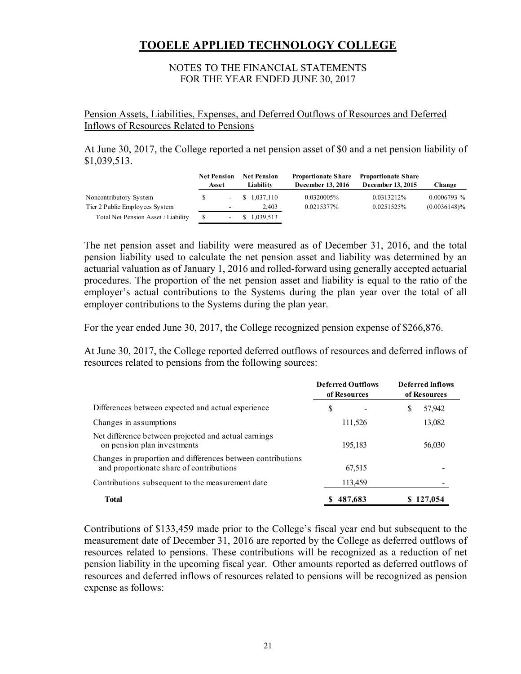#### NOTES TO THE FINANCIAL STATEMENTS FOR THE YEAR ENDED JUNE 30, 2017

Pension Assets, Liabilities, Expenses, and Deferred Outflows of Resources and Deferred Inflows of Resources Related to Pensions

At June 30, 2017, the College reported a net pension asset of \$0 and a net pension liability of \$1,039,513.

|                                     | <b>Net Pension</b><br>Asset | <b>Net Pension</b><br>Liability | <b>Proportionate Share</b><br>December 13, 2016 | <b>Proportionate Share</b><br>December 13, 2015 | Change          |
|-------------------------------------|-----------------------------|---------------------------------|-------------------------------------------------|-------------------------------------------------|-----------------|
| Noncontributory System              | $\sim$                      | \$1.037,110                     | 0.0320005%                                      | 0.0313212%                                      | $0.0006793\%$   |
| Tier 2 Public Employees System      | ٠                           | 2.403                           | 0.0215377%                                      | 0.0251525%                                      | $(0.0036148)\%$ |
| Total Net Pension Asset / Liability | $\overline{\phantom{0}}$    | \$1,039,513                     |                                                 |                                                 |                 |

The net pension asset and liability were measured as of December 31, 2016, and the total pension liability used to calculate the net pension asset and liability was determined by an actuarial valuation as of January 1, 2016 and rolled-forward using generally accepted actuarial procedures. The proportion of the net pension asset and liability is equal to the ratio of the employer's actual contributions to the Systems during the plan year over the total of all employer contributions to the Systems during the plan year.

For the year ended June 30, 2017, the College recognized pension expense of \$266,876.

At June 30, 2017, the College reported deferred outflows of resources and deferred inflows of resources related to pensions from the following sources:

|                                                                                                         | <b>Deferred Outflows</b><br>of Resources | <b>Deferred Inflows</b><br>of Resources |
|---------------------------------------------------------------------------------------------------------|------------------------------------------|-----------------------------------------|
| Differences between expected and actual experience                                                      | \$                                       | \$<br>57,942                            |
| Changes in assumptions                                                                                  | 111,526                                  | 13,082                                  |
| Net difference between projected and actual earnings<br>on pension plan investments                     | 195,183                                  | 56,030                                  |
| Changes in proportion and differences between contributions<br>and proportionate share of contributions | 67,515                                   |                                         |
| Contributions subsequent to the measurement date                                                        | 113,459                                  |                                         |
| <b>Total</b>                                                                                            | 487,683                                  | \$127,054                               |

Contributions of \$133,459 made prior to the College's fiscal year end but subsequent to the measurement date of December 31, 2016 are reported by the College as deferred outflows of resources related to pensions. These contributions will be recognized as a reduction of net pension liability in the upcoming fiscal year. Other amounts reported as deferred outflows of resources and deferred inflows of resources related to pensions will be recognized as pension expense as follows: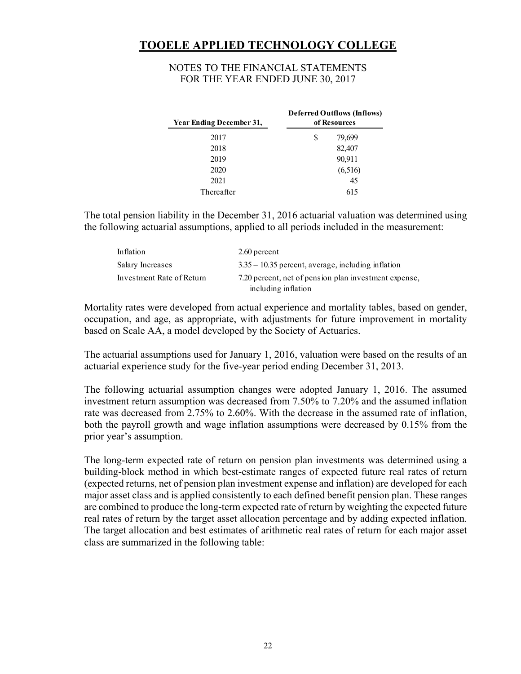#### NOTES TO THE FINANCIAL STATEMENTS FOR THE YEAR ENDED JUNE 30, 2017

| Year Ending December 31, | <b>Deferred Outflows (Inflows)</b><br>of Resources |         |  |
|--------------------------|----------------------------------------------------|---------|--|
| 2017                     | S                                                  | 79,699  |  |
| 2018                     |                                                    | 82,407  |  |
| 2019                     |                                                    | 90,911  |  |
| 2020                     |                                                    | (6,516) |  |
| 2021                     |                                                    | 45      |  |
| Thereafter               |                                                    | 615     |  |

The total pension liability in the December 31, 2016 actuarial valuation was determined using the following actuarial assumptions, applied to all periods included in the measurement:

| Inflation                 | 2.60 percent                                          |
|---------------------------|-------------------------------------------------------|
| Salary Increases          | $3.35 - 10.35$ percent, average, including inflation  |
| Investment Rate of Return | 7.20 percent, net of pension plan investment expense, |
|                           | including inflation                                   |

Mortality rates were developed from actual experience and mortality tables, based on gender, occupation, and age, as appropriate, with adjustments for future improvement in mortality based on Scale AA, a model developed by the Society of Actuaries.

The actuarial assumptions used for January 1, 2016, valuation were based on the results of an actuarial experience study for the five-year period ending December 31, 2013.

The following actuarial assumption changes were adopted January 1, 2016. The assumed investment return assumption was decreased from 7.50% to 7.20% and the assumed inflation rate was decreased from 2.75% to 2.60%. With the decrease in the assumed rate of inflation, both the payroll growth and wage inflation assumptions were decreased by 0.15% from the prior year's assumption.

The long-term expected rate of return on pension plan investments was determined using a building-block method in which best-estimate ranges of expected future real rates of return (expected returns, net of pension plan investment expense and inflation) are developed for each major asset class and is applied consistently to each defined benefit pension plan. These ranges are combined to produce the long-term expected rate of return by weighting the expected future real rates of return by the target asset allocation percentage and by adding expected inflation. The target allocation and best estimates of arithmetic real rates of return for each major asset class are summarized in the following table: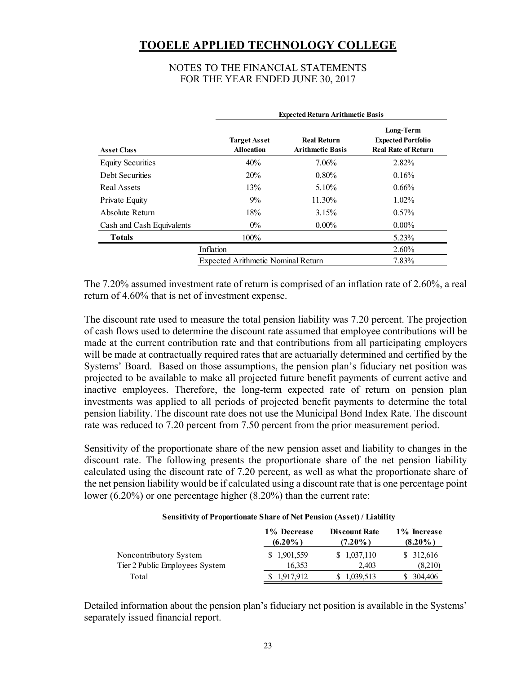#### NOTES TO THE FINANCIAL STATEMENTS FOR THE YEAR ENDED JUNE 30, 2017

|                           | <b>Expected Return Arithmetic Basis</b>  |                                               |                                                                      |  |  |  |
|---------------------------|------------------------------------------|-----------------------------------------------|----------------------------------------------------------------------|--|--|--|
| <b>Asset Class</b>        | <b>Target Asset</b><br><b>Allocation</b> | <b>Real Return</b><br><b>Arithmetic Basis</b> | Long-Term<br><b>Expected Portfolio</b><br><b>Real Rate of Return</b> |  |  |  |
| <b>Equity Securities</b>  | 40%                                      | $7.06\%$                                      | $2.82\%$                                                             |  |  |  |
| Debt Securities           | 20%                                      | $0.80\%$                                      | 0.16%                                                                |  |  |  |
| Real Assets               | 13%                                      | 5.10%                                         | $0.66\%$                                                             |  |  |  |
| Private Equity            | $9\%$                                    | 11.30%                                        | $1.02\%$                                                             |  |  |  |
| Absolute Return           | 18%                                      | 3.15%                                         | $0.57\%$                                                             |  |  |  |
| Cash and Cash Equivalents | $0\%$                                    | $0.00\%$                                      | $0.00\%$                                                             |  |  |  |
| <b>Totals</b>             | 100%                                     |                                               | 5.23%                                                                |  |  |  |
|                           | Inflation                                |                                               | $2.60\%$                                                             |  |  |  |
|                           | Expected Arithmetic Nominal Return       |                                               | 7.83%                                                                |  |  |  |

The 7.20% assumed investment rate of return is comprised of an inflation rate of 2.60%, a real return of 4.60% that is net of investment expense.

The discount rate used to measure the total pension liability was 7.20 percent. The projection of cash flows used to determine the discount rate assumed that employee contributions will be made at the current contribution rate and that contributions from all participating employers will be made at contractually required rates that are actuarially determined and certified by the Systems' Board. Based on those assumptions, the pension plan's fiduciary net position was projected to be available to make all projected future benefit payments of current active and inactive employees. Therefore, the long-term expected rate of return on pension plan investments was applied to all periods of projected benefit payments to determine the total pension liability. The discount rate does not use the Municipal Bond Index Rate. The discount rate was reduced to 7.20 percent from 7.50 percent from the prior measurement period.

Sensitivity of the proportionate share of the new pension asset and liability to changes in the discount rate. The following presents the proportionate share of the net pension liability calculated using the discount rate of 7.20 percent, as well as what the proportionate share of the net pension liability would be if calculated using a discount rate that is one percentage point lower (6.20%) or one percentage higher (8.20%) than the current rate:

#### **Sensitivity of Proportionate Share of Net Pension (Asset) / Liability**

|                                | 1% Decrease<br>$(6.20\%)$ | <b>Discount Rate</b><br>$(7.20\%)$ | 1% Increase<br>$(8.20\%)$ |  |
|--------------------------------|---------------------------|------------------------------------|---------------------------|--|
| Noncontributory System         | \$1,901,559               | \$1,037,110                        | \$312,616                 |  |
| Tier 2 Public Employees System | 16.353                    | 2.403                              | (8,210)                   |  |
| Total                          | 1.917.912                 | 1,039,513                          | \$ 304,406                |  |

Detailed information about the pension plan's fiduciary net position is available in the Systems' separately issued financial report.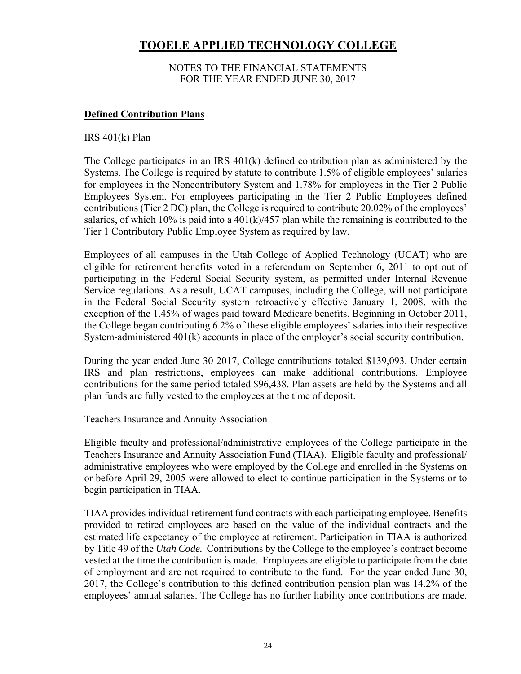#### NOTES TO THE FINANCIAL STATEMENTS FOR THE YEAR ENDED JUNE 30, 2017

#### **Defined Contribution Plans**

#### $IRS 401(k) Plan$

The College participates in an IRS 401(k) defined contribution plan as administered by the Systems. The College is required by statute to contribute 1.5% of eligible employees' salaries for employees in the Noncontributory System and 1.78% for employees in the Tier 2 Public Employees System. For employees participating in the Tier 2 Public Employees defined contributions (Tier 2 DC) plan, the College is required to contribute 20.02% of the employees' salaries, of which 10% is paid into a  $401(k)/457$  plan while the remaining is contributed to the Tier 1 Contributory Public Employee System as required by law.

Employees of all campuses in the Utah College of Applied Technology (UCAT) who are eligible for retirement benefits voted in a referendum on September 6, 2011 to opt out of participating in the Federal Social Security system, as permitted under Internal Revenue Service regulations. As a result, UCAT campuses, including the College, will not participate in the Federal Social Security system retroactively effective January 1, 2008, with the exception of the 1.45% of wages paid toward Medicare benefits. Beginning in October 2011, the College began contributing 6.2% of these eligible employees' salaries into their respective System-administered 401(k) accounts in place of the employer's social security contribution.

During the year ended June 30 2017, College contributions totaled \$139,093. Under certain IRS and plan restrictions, employees can make additional contributions. Employee contributions for the same period totaled \$96,438. Plan assets are held by the Systems and all plan funds are fully vested to the employees at the time of deposit.

#### Teachers Insurance and Annuity Association

Eligible faculty and professional/administrative employees of the College participate in the Teachers Insurance and Annuity Association Fund (TIAA). Eligible faculty and professional/ administrative employees who were employed by the College and enrolled in the Systems on or before April 29, 2005 were allowed to elect to continue participation in the Systems or to begin participation in TIAA.

TIAA provides individual retirement fund contracts with each participating employee. Benefits provided to retired employees are based on the value of the individual contracts and the estimated life expectancy of the employee at retirement. Participation in TIAA is authorized by Title 49 of the *Utah Code.* Contributions by the College to the employee's contract become vested at the time the contribution is made. Employees are eligible to participate from the date of employment and are not required to contribute to the fund. For the year ended June 30, 2017, the College's contribution to this defined contribution pension plan was 14.2% of the employees' annual salaries. The College has no further liability once contributions are made.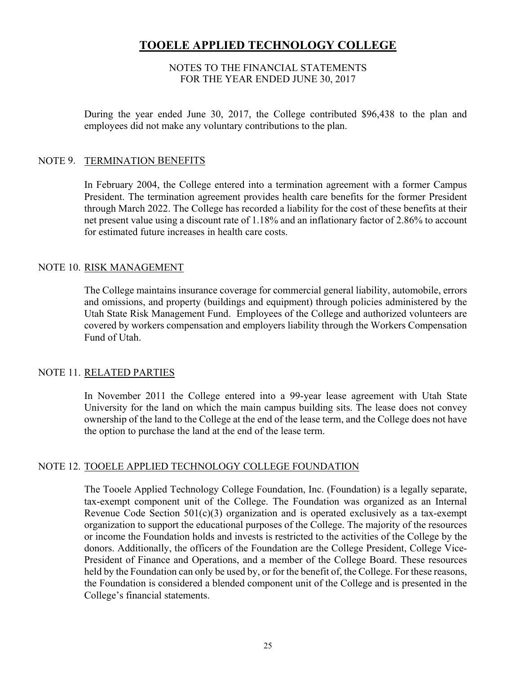#### NOTES TO THE FINANCIAL STATEMENTS FOR THE YEAR ENDED JUNE 30, 2017

During the year ended June 30, 2017, the College contributed \$96,438 to the plan and employees did not make any voluntary contributions to the plan.

#### NOTE 9. TERMINATION BENEFITS

In February 2004, the College entered into a termination agreement with a former Campus President. The termination agreement provides health care benefits for the former President through March 2022. The College has recorded a liability for the cost of these benefits at their net present value using a discount rate of 1.18% and an inflationary factor of 2.86% to account for estimated future increases in health care costs.

#### NOTE 10. RISK MANAGEMENT

The College maintains insurance coverage for commercial general liability, automobile, errors and omissions, and property (buildings and equipment) through policies administered by the Utah State Risk Management Fund. Employees of the College and authorized volunteers are covered by workers compensation and employers liability through the Workers Compensation Fund of Utah.

#### NOTE 11. RELATED PARTIES

In November 2011 the College entered into a 99-year lease agreement with Utah State University for the land on which the main campus building sits. The lease does not convey ownership of the land to the College at the end of the lease term, and the College does not have the option to purchase the land at the end of the lease term.

#### NOTE 12. TOOELE APPLIED TECHNOLOGY COLLEGE FOUNDATION

The Tooele Applied Technology College Foundation, Inc. (Foundation) is a legally separate, tax-exempt component unit of the College. The Foundation was organized as an Internal Revenue Code Section 501(c)(3) organization and is operated exclusively as a tax-exempt organization to support the educational purposes of the College. The majority of the resources or income the Foundation holds and invests is restricted to the activities of the College by the donors. Additionally, the officers of the Foundation are the College President, College Vice-President of Finance and Operations, and a member of the College Board. These resources held by the Foundation can only be used by, or for the benefit of, the College. For these reasons, the Foundation is considered a blended component unit of the College and is presented in the College's financial statements.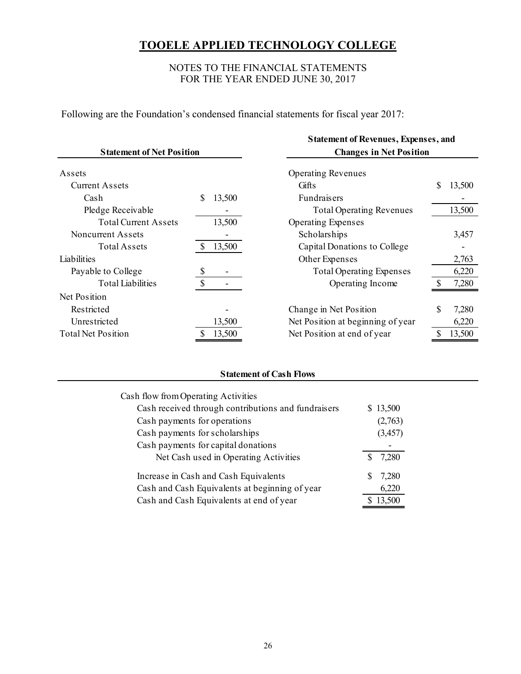#### NOTES TO THE FINANCIAL STATEMENTS FOR THE YEAR ENDED JUNE 30, 2017

Following are the Foundation's condensed financial statements for fiscal year 2017:

|                                  |    |                                | <b>Statement of Revenues, Expenses, and</b> |              |  |  |  |  |
|----------------------------------|----|--------------------------------|---------------------------------------------|--------------|--|--|--|--|
| <b>Statement of Net Position</b> |    | <b>Changes in Net Position</b> |                                             |              |  |  |  |  |
| Assets                           |    |                                | <b>Operating Revenues</b>                   |              |  |  |  |  |
| <b>Current Assets</b>            |    |                                | Gifts                                       | \$<br>13,500 |  |  |  |  |
| Cash                             | \$ | 13,500                         | Fundraisers                                 |              |  |  |  |  |
| Pledge Receivable                |    |                                | <b>Total Operating Revenues</b>             | 13,500       |  |  |  |  |
| <b>Total Current Assets</b>      |    | 13,500                         | <b>Operating Expenses</b>                   |              |  |  |  |  |
| Noncurrent Assets                |    |                                | Scholarships                                | 3,457        |  |  |  |  |
| Total Assets                     |    | 13,500                         | Capital Donations to College                |              |  |  |  |  |
| Liabilities                      |    |                                | Other Expenses                              | 2,763        |  |  |  |  |
| Payable to College               |    |                                | <b>Total Operating Expenses</b>             | 6,220        |  |  |  |  |
| <b>Total Liabilities</b>         | \$ |                                | Operating Income                            | 7,280        |  |  |  |  |
| Net Position                     |    |                                |                                             |              |  |  |  |  |
| Restricted                       |    |                                | Change in Net Position                      | \$<br>7,280  |  |  |  |  |
| Unrestricted                     |    | 13,500                         | Net Position at beginning of year           | 6,220        |  |  |  |  |
| <b>Total Net Position</b>        |    | 13,500                         | Net Position at end of year                 | 13,500       |  |  |  |  |

#### **Statement of Cash Flows**

| Cash flow from Operating Activities                 |          |
|-----------------------------------------------------|----------|
| Cash received through contributions and fundraisers | \$13,500 |
| Cash payments for operations                        | (2,763)  |
| Cash payments for scholarships                      | (3, 457) |
| Cash payments for capital donations                 |          |
| Net Cash used in Operating Activities               | 7,280    |
| Increase in Cash and Cash Equivalents               | 7,280    |
| Cash and Cash Equivalents at beginning of year      | 6,220    |
| Cash and Cash Equivalents at end of year            | 13,500   |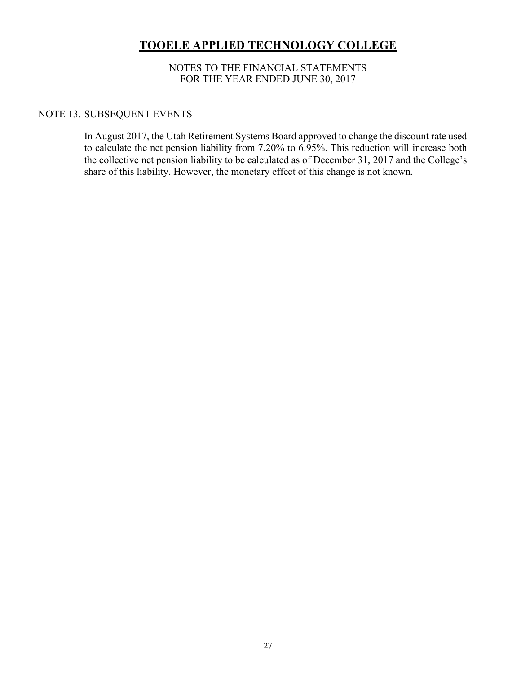#### NOTES TO THE FINANCIAL STATEMENTS FOR THE YEAR ENDED JUNE 30, 2017

#### NOTE 13. SUBSEQUENT EVENTS

In August 2017, the Utah Retirement Systems Board approved to change the discount rate used to calculate the net pension liability from 7.20% to 6.95%. This reduction will increase both the collective net pension liability to be calculated as of December 31, 2017 and the College's share of this liability. However, the monetary effect of this change is not known.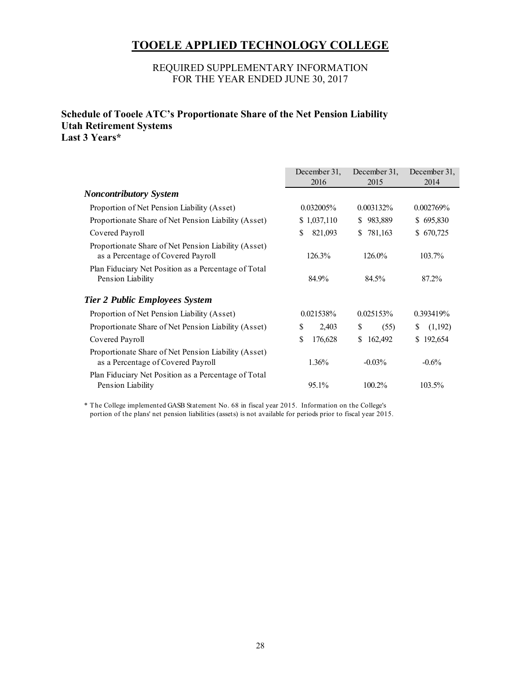#### REQUIRED SUPPLEMENTARY INFORMATION FOR THE YEAR ENDED JUNE 30, 2017

#### **Schedule of Tooele ATC's Proportionate Share of the Net Pension Liability Utah Retirement Systems Last 3 Years\***

|                                                                                            | December 31,  | December 31,  |              |  |
|--------------------------------------------------------------------------------------------|---------------|---------------|--------------|--|
|                                                                                            | 2016          | 2015          | 2014         |  |
| <b>Noncontributory System</b>                                                              |               |               |              |  |
| Proportion of Net Pension Liability (Asset)                                                | $0.032005\%$  | $0.003132\%$  | 0.002769%    |  |
| Proportionate Share of Net Pension Liability (Asset)                                       | \$1,037,110   | \$983,889     | \$695,830    |  |
| Covered Payroll                                                                            | 821,093<br>S  | 781,163<br>S. | \$670,725    |  |
| Proportionate Share of Net Pension Liability (Asset)<br>as a Percentage of Covered Payroll | 126.3%        | 126.0%        | 103.7%       |  |
| Plan Fiduciary Net Position as a Percentage of Total<br>Pension Liability                  | 84.9%         | 84.5%         | 87.2%        |  |
| <b>Tier 2 Public Employees System</b>                                                      |               |               |              |  |
| Proportion of Net Pension Liability (Asset)                                                | 0.021538%     | 0.025153%     | 0.393419%    |  |
| Proportionate Share of Net Pension Liability (Asset)                                       | \$<br>2,403   | \$<br>(55)    | (1,192)<br>S |  |
| Covered Payroll                                                                            | \$<br>176,628 | 162,492<br>\$ | \$192,654    |  |
| Proportionate Share of Net Pension Liability (Asset)<br>as a Percentage of Covered Payroll | 1.36%         | $-0.03\%$     | $-0.6\%$     |  |
| Plan Fiduciary Net Position as a Percentage of Total<br>Pension Liability                  | 95.1%         | 100.2%        | 103.5%       |  |

\* The College implemented GASB Statement No. 68 in fiscal year 2015. Information on the College's portion of the plans' net pension liabilities (assets) is not available for periods prior to fiscal year 2015.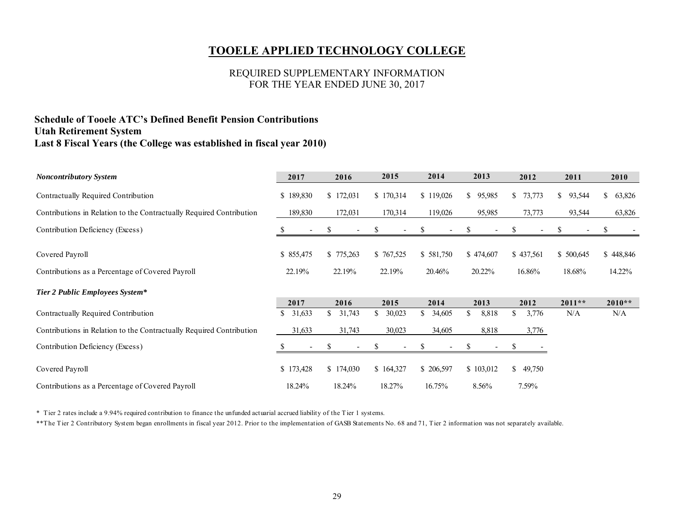#### REQUIRED SUPPLEMENTARY INFORMATION FOR THE YEAR ENDED JUNE 30, 2017

#### **Schedule of Tooele ATC's Defined Benefit Pension Contributions Utah Retirement System Last 8 Fiscal Years (the College was established in fiscal year 2010)**

| Noncontributory System                                                              | 2017                            | 2016                             | 2015                 | 2014                           | 2013                | 2012                     | 2011                          | 2010                     |
|-------------------------------------------------------------------------------------|---------------------------------|----------------------------------|----------------------|--------------------------------|---------------------|--------------------------|-------------------------------|--------------------------|
| Contractually Required Contribution                                                 | \$189,830                       | \$172,031                        | \$170,314            | \$119,026                      | \$<br>95,985        | 73,773<br>\$             | $\mathbb{S}^-$<br>93,544      | 63,826<br>$\mathbb{S}^-$ |
| Contributions in Relation to the Contractually Required Contribution                | 189,830                         | 172,031                          | 170,314              | 119,026                        | 95,985              | 73,773                   | 93,544                        | 63,826                   |
| Contribution Deficiency (Excess)                                                    | \$.<br>$\overline{\phantom{a}}$ | S<br>$\overline{\phantom{a}}$    | <sup>8</sup>         | S.<br>$\overline{\phantom{a}}$ | ð.                  | ъ                        | S<br>$\overline{\phantom{a}}$ |                          |
| Covered Payroll                                                                     | \$ 855,475<br>22.19%            | \$775,263<br>22.19%              | \$767,525<br>22.19%  | \$581,750<br>20.46%            | \$474,607<br>20.22% | \$437,561<br>16.86%      | \$500,645<br>18.68%           | \$448,846<br>14.22%      |
| Contributions as a Percentage of Covered Payroll<br>Tier 2 Public Employees System* |                                 |                                  |                      |                                |                     |                          |                               |                          |
| Contractually Required Contribution                                                 | 2017<br>31,633<br>\$            | 2016<br>$\mathbb{S}^-$<br>31,743 | 2015<br>\$<br>30,023 | 2014<br>\$<br>34,605           | 2013<br>\$<br>8,818 | 2012<br>\$<br>3,776      | $2011**$<br>N/A               | $2010**$<br>N/A          |
| Contributions in Relation to the Contractually Required Contribution                | 31,633                          | 31,743                           | 30,023               | 34,605                         | 8,818               | 3,776                    |                               |                          |
| Contribution Deficiency (Excess)                                                    |                                 |                                  |                      |                                |                     |                          |                               |                          |
| Covered Payroll                                                                     | \$173,428                       | \$174,030                        | \$164,327            | \$ 206,597                     | \$103,012           | $\mathbb{S}^-$<br>49,750 |                               |                          |
| Contributions as a Percentage of Covered Payroll                                    | 18.24%                          | 18.24%                           | 18.27%               | 16.75%                         | 8.56%               | 7.59%                    |                               |                          |

\* Tier 2 rates include a 9.94% required contribution to finance the unfunded actuarial accrued liability of the Tier 1 systems.

\*\*The Tier 2 Contributory System began enrollments in fiscal year 2012. Prior to the implementation of GASB Statements No. 68 and 71, Tier 2 information was not separately available.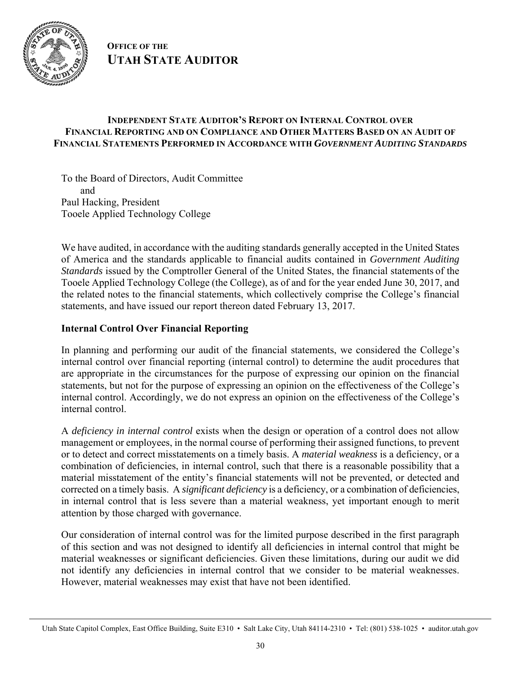

**OFFICE OF THE UTAH STATE AUDITOR**

#### **INDEPENDENT STATE AUDITOR'S REPORT ON INTERNAL CONTROL OVER FINANCIAL REPORTING AND ON COMPLIANCE AND OTHER MATTERS BASED ON AN AUDIT OF FINANCIAL STATEMENTS PERFORMED IN ACCORDANCE WITH** *GOVERNMENT AUDITING STANDARDS*

To the Board of Directors, Audit Committee and Paul Hacking, President Tooele Applied Technology College

We have audited, in accordance with the auditing standards generally accepted in the United States of America and the standards applicable to financial audits contained in *Government Auditing Standards* issued by the Comptroller General of the United States, the financial statements of the Tooele Applied Technology College (the College), as of and for the year ended June 30, 2017, and the related notes to the financial statements, which collectively comprise the College's financial statements, and have issued our report thereon dated February 13, 2017.

#### **Internal Control Over Financial Reporting**

In planning and performing our audit of the financial statements, we considered the College's internal control over financial reporting (internal control) to determine the audit procedures that are appropriate in the circumstances for the purpose of expressing our opinion on the financial statements, but not for the purpose of expressing an opinion on the effectiveness of the College's internal control. Accordingly, we do not express an opinion on the effectiveness of the College's internal control.

A *deficiency in internal control* exists when the design or operation of a control does not allow management or employees, in the normal course of performing their assigned functions, to prevent or to detect and correct misstatements on a timely basis. A *material weakness* is a deficiency, or a combination of deficiencies, in internal control, such that there is a reasonable possibility that a material misstatement of the entity's financial statements will not be prevented, or detected and corrected on a timely basis. A *significant deficiency* is a deficiency, or a combination of deficiencies, in internal control that is less severe than a material weakness, yet important enough to merit attention by those charged with governance.

Our consideration of internal control was for the limited purpose described in the first paragraph of this section and was not designed to identify all deficiencies in internal control that might be material weaknesses or significant deficiencies. Given these limitations, during our audit we did not identify any deficiencies in internal control that we consider to be material weaknesses. However, material weaknesses may exist that have not been identified.

Utah State Capitol Complex, East Office Building, Suite E310 • Salt Lake City, Utah 84114-2310 • Tel: (801) 538-1025 • auditor.utah.gov